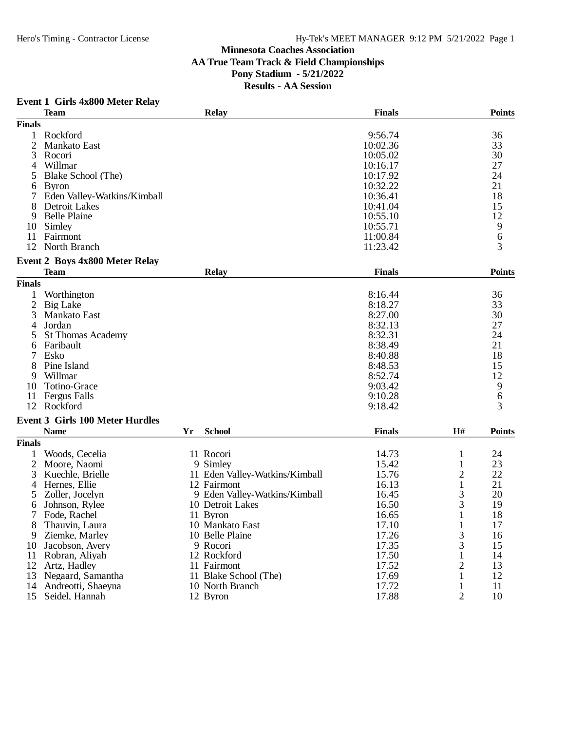# **Minnesota Coaches Association AA True Team Track & Field Championships Pony Stadium - 5/21/2022 Results - AA Session**

# **Event 1 Girls 4x800 Meter Relay**

|                | <b>Team</b>                            |    | <b>Relay</b>                   | <b>Finals</b> |                | <b>Points</b> |
|----------------|----------------------------------------|----|--------------------------------|---------------|----------------|---------------|
| <b>Finals</b>  |                                        |    |                                |               |                |               |
| 1              | Rockford                               |    |                                | 9:56.74       |                | 36            |
| 2              | Mankato East                           |    |                                | 10:02.36      |                | 33            |
| 3              | Rocori                                 |    |                                | 10:05.02      |                | 30            |
| 4              | Willmar                                |    |                                | 10:16.17      |                | 27            |
|                | Blake School (The)                     |    |                                | 10:17.92      |                | 24            |
|                | <b>Byron</b>                           |    |                                | 10:32.22      |                | 21            |
| 6              |                                        |    |                                |               |                |               |
|                | Eden Valley-Watkins/Kimball            |    |                                | 10:36.41      |                | 18<br>15      |
| 8              | Detroit Lakes                          |    |                                | 10:41.04      |                |               |
| 9              | <b>Belle Plaine</b>                    |    |                                | 10:55.10      |                | 12            |
| 10             | Simley                                 |    |                                | 10:55.71      |                | 9             |
| 11             | Fairmont                               |    |                                | 11:00.84      |                | 6             |
| 12             | North Branch                           |    |                                | 11:23.42      |                | 3             |
|                | <b>Event 2 Boys 4x800 Meter Relay</b>  |    |                                |               |                |               |
|                | <b>Team</b>                            |    | <b>Relay</b>                   | <b>Finals</b> |                | <b>Points</b> |
| <b>Finals</b>  |                                        |    |                                |               |                |               |
| 1              | Worthington                            |    |                                | 8:16.44       |                | 36            |
| 2              | <b>Big Lake</b>                        |    |                                | 8:18.27       |                | 33            |
| 3              | <b>Mankato East</b>                    |    |                                | 8:27.00       |                | 30            |
| 4              | Jordan                                 |    |                                | 8:32.13       |                | 27            |
|                | <b>St Thomas Academy</b>               |    |                                | 8:32.31       |                | 24            |
| 6              | Faribault                              |    |                                | 8:38.49       |                | 21            |
| 7              | Esko                                   |    |                                | 8:40.88       |                | 18            |
|                | Pine Island                            |    |                                |               |                | 15            |
| 8              |                                        |    |                                | 8:48.53       |                |               |
| 9              | Willmar                                |    |                                | 8:52.74       |                | 12            |
| 10             | Totino-Grace                           |    |                                | 9:03.42       |                | 9             |
| 11             | <b>Fergus Falls</b>                    |    |                                | 9:10.28       |                | 6             |
|                | 12 Rockford                            |    |                                | 9:18.42       |                | 3             |
|                | <b>Event 3 Girls 100 Meter Hurdles</b> |    |                                |               |                |               |
|                | <b>Name</b>                            | Yr | <b>School</b>                  | <b>Finals</b> | H#             | <b>Points</b> |
| <b>Finals</b>  |                                        |    |                                |               |                |               |
|                | Woods, Cecelia                         |    | 11 Rocori                      | 14.73         | 1              | 24            |
| $\overline{2}$ | Moore, Naomi                           |    | 9 Simley                       | 15.42         | 1              | 23            |
| 3              | Kuechle, Brielle                       |    | 11 Eden Valley-Watkins/Kimball | 15.76         | $\overline{c}$ | 22            |
| 4              | Hernes, Ellie                          |    | 12 Fairmont                    | 16.13         | $\mathbf{1}$   | 21            |
| 5              | Zoller, Jocelyn                        |    | 9 Eden Valley-Watkins/Kimball  | 16.45         |                | 20            |
| 6              | Johnson, Rylee                         |    | 10 Detroit Lakes               | 16.50         | $\frac{3}{3}$  | 19            |
|                | Fode, Rachel                           |    | 11 Byron                       | 16.65         | 1              | 18            |
| 8              | Thauvin, Laura                         |    | 10 Mankato East                | 17.10         | 1              | 17            |
| 9              | Ziemke, Marley                         |    | 10 Belle Plaine                | 17.26         | 3              | 16            |
| 10             | Jacobson, Avery                        |    | 9 Rocori                       | 17.35         | 3              | 15            |
| 11             | Robran, Aliyah                         |    | 12 Rockford                    | 17.50         | 1              | 14            |
| 12             | Artz, Hadley                           |    | 11 Fairmont                    | 17.52         | $\overline{c}$ | 13            |
| 13             | Negaard, Samantha                      |    | 11 Blake School (The)          | 17.69         | 1              | 12            |
|                |                                        |    |                                |               |                |               |
| 14             | Andreotti, Shaeyna                     |    | 10 North Branch                | 17.72         | 1              | 11            |
| 15             | Seidel, Hannah                         |    | 12 Byron                       | 17.88         | 2              | 10            |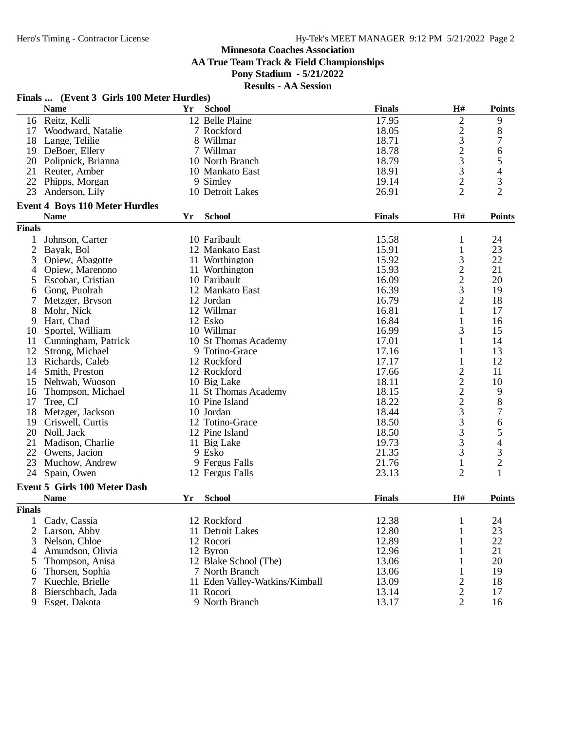**AA True Team Track & Field Championships**

# **Pony Stadium - 5/21/2022**

|                | Finals  (Event 3 Girls 100 Meter Hurdles) |    |                                |                |                                                        |                          |
|----------------|-------------------------------------------|----|--------------------------------|----------------|--------------------------------------------------------|--------------------------|
|                | <b>Name</b>                               | Yr | <b>School</b>                  | <b>Finals</b>  | H#                                                     | <b>Points</b>            |
|                | 16 Reitz, Kelli                           |    | 12 Belle Plaine                | 17.95          | $\overline{2}$                                         | 9                        |
| 17             | Woodward, Natalie                         |    | 7 Rockford                     | 18.05          |                                                        | $8\,$                    |
|                | 18 Lange, Telilie                         |    | 8 Willmar                      | 18.71          | $\begin{array}{c}\n23 \\ 23 \\ 3\n\end{array}$         | 7                        |
|                | 19 DeBoer, Ellery                         |    | 7 Willmar                      | 18.78          |                                                        | 6                        |
| 20             | Polipnick, Brianna                        |    | 10 North Branch                | 18.79          |                                                        | 5                        |
| 21             | Reuter, Amber                             |    | 10 Mankato East                | 18.91          |                                                        | $\overline{4}$           |
| 22             | Phipps, Morgan                            |    | 9 Simley                       | 19.14          | $\overline{c}$                                         | $\mathfrak{Z}$           |
| 23             | Anderson, Lily                            |    | 10 Detroit Lakes               | 26.91          | $\overline{2}$                                         | $\overline{2}$           |
|                | <b>Event 4 Boys 110 Meter Hurdles</b>     |    |                                |                |                                                        |                          |
|                | <b>Name</b>                               | Yr | <b>School</b>                  | <b>Finals</b>  | H#                                                     | <b>Points</b>            |
| <b>Finals</b>  |                                           |    |                                |                |                                                        |                          |
| 1              | Johnson, Carter                           |    | 10 Faribault                   | 15.58          | 1                                                      | 24                       |
| $\overline{c}$ | Bayak, Bol                                |    | 12 Mankato East                | 15.91          | $\mathbf{1}$                                           | 23                       |
| 3              | Opiew, Abagotte                           |    | 11 Worthington                 | 15.92          | 3                                                      | 22                       |
| 4              | Opiew, Marenono                           |    | 11 Worthington                 | 15.93          |                                                        | 21                       |
| 5              | Escobar, Cristian                         |    | 10 Faribault                   | 16.09          | $\frac{2}{3}$<br>$\frac{3}{2}$                         | 20                       |
| 6              | Gong, Puolrah                             |    | 12 Mankato East                | 16.39          |                                                        | 19                       |
| 7              | Metzger, Bryson                           |    | 12 Jordan                      | 16.79          |                                                        | 18                       |
| 8              | Mohr, Nick                                |    | 12 Willmar                     | 16.81          | $\mathbf{1}$                                           | 17                       |
| 9              | Hart, Chad                                |    | 12 Esko                        | 16.84          | $\mathbf{1}$                                           | 16                       |
| 10             | Sportel, William                          |    | 10 Willmar                     | 16.99          | 3                                                      | 15                       |
| 11             | Cunningham, Patrick                       |    | 10 St Thomas Academy           | 17.01          | 1                                                      | 14                       |
| 12             | Strong, Michael                           |    | 9 Totino-Grace                 | 17.16          | 1                                                      | 13                       |
| 13             | Richards, Caleb                           |    | 12 Rockford                    | 17.17          | 1                                                      | 12                       |
| 14             | Smith, Preston                            |    | 12 Rockford                    | 17.66          |                                                        | 11                       |
| 15             |                                           |    |                                | 18.11          | $\frac{2}{2}$                                          | 10                       |
|                | Nehwah, Wuoson                            |    | 10 Big Lake                    |                |                                                        |                          |
| 16             | Thompson, Michael                         |    | 11 St Thomas Academy           | 18.15          |                                                        | 9                        |
| 17             | Tree, CJ                                  |    | 10 Pine Island                 | 18.22          |                                                        | $8\,$                    |
| 18             | Metzger, Jackson                          |    | 10 Jordan                      | 18.44          | $\begin{array}{c}\n2 \\ 2 \\ 3 \\ 3 \\ 3\n\end{array}$ | $\boldsymbol{7}$         |
| 19             | Criswell, Curtis                          |    | 12 Totino-Grace                | 18.50          |                                                        | 6                        |
| 20             | Noll, Jack                                |    | 12 Pine Island                 | 18.50          |                                                        | 5                        |
| 21             | Madison, Charlie                          |    | 11 Big Lake                    | 19.73          | 3                                                      | $\overline{\mathcal{L}}$ |
| 22             | Owens, Jacion                             |    | 9 Esko                         | 21.35          | 3                                                      | $\mathfrak{Z}$           |
| 23<br>24       | Muchow, Andrew<br>Spain, Owen             |    | 9 Fergus Falls                 | 21.76<br>23.13 | $\mathbf{1}$<br>$\overline{2}$                         | $\sqrt{2}$<br>1          |
|                |                                           |    | 12 Fergus Falls                |                |                                                        |                          |
|                | Event 5 Girls 100 Meter Dash              |    |                                |                |                                                        |                          |
|                | <b>Name</b>                               | Yr | <b>School</b>                  | <b>Finals</b>  | H#                                                     | <b>Points</b>            |
| <b>Finals</b>  |                                           |    |                                |                |                                                        |                          |
| 1              | Cady, Cassia                              |    | 12 Rockford                    | 12.38          | 1                                                      | 24                       |
| 2              | Larson, Abby                              |    | 11 Detroit Lakes               | 12.80          | $\mathbf{1}$                                           | 23                       |
| 3              | Nelson, Chloe                             |    | 12 Rocori                      | 12.89          | 1                                                      | 22                       |
| 4              | Amundson, Olivia                          |    | 12 Byron                       | 12.96          | 1                                                      | 21                       |
| 5              | Thompson, Anisa                           |    | 12 Blake School (The)          | 13.06          | 1                                                      | 20                       |
| 6              | Thorsen, Sophia                           |    | 7 North Branch                 | 13.06          |                                                        | 19                       |
|                | Kuechle, Brielle                          |    | 11 Eden Valley-Watkins/Kimball | 13.09          | $\overline{c}$                                         | 18                       |
| 8              | Bierschbach, Jada                         |    | 11 Rocori                      | 13.14          | $\overline{c}$                                         | 17                       |
| 9              | Esget, Dakota                             |    | 9 North Branch                 | 13.17          | $\overline{2}$                                         | 16                       |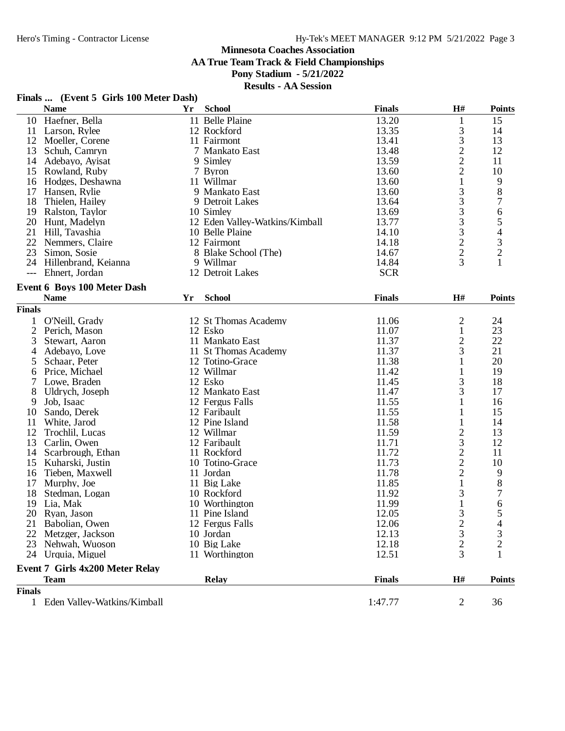**AA True Team Track & Field Championships**

#### **Pony Stadium - 5/21/2022**

| Finals  (Event 5 Girls 100 Meter Dash) |  |  |  |  |  |
|----------------------------------------|--|--|--|--|--|
|----------------------------------------|--|--|--|--|--|

|                | <b>Name</b>                            | Yr | <b>School</b>                  | <b>Finals</b> | H#                      | <b>Points</b>  |
|----------------|----------------------------------------|----|--------------------------------|---------------|-------------------------|----------------|
| 10             | Haefner, Bella                         |    | 11 Belle Plaine                | 13.20         | $\mathbf{1}$            | 15             |
| 11             | Larson, Rylee                          |    | 12 Rockford                    | 13.35         | 3                       | 14             |
|                | 12 Moeller, Corene                     |    | 11 Fairmont                    | 13.41         | 3                       | 13             |
| 13             | Schuh, Camryn                          |    | 7 Mankato East                 | 13.48         | $\overline{c}$          | 12             |
| 14             | Adebayo, Ayisat                        |    | 9 Simley                       | 13.59         | $\overline{c}$          | 11             |
| 15             | Rowland, Ruby                          |    | 7 Byron                        | 13.60         | $\overline{2}$          | 10             |
| 16             | Hodges, Deshawna                       |    | 11 Willmar                     | 13.60         | $\mathbf{1}$            | 9              |
| 17             | Hansen, Rylie                          |    | 9 Mankato East                 | 13.60         | 3                       | 8              |
| 18             | Thielen, Hailey                        |    | 9 Detroit Lakes                | 13.64         | 3                       | $\overline{7}$ |
| 19             | Ralston, Taylor                        |    | 10 Simley                      | 13.69         | 3                       |                |
| 20             | Hunt, Madelyn                          |    | 12 Eden Valley-Watkins/Kimball | 13.77         | 3                       | 654321         |
| 21             | Hill, Tavashia                         |    | 10 Belle Plaine                | 14.10         | 3                       |                |
| 22             | Nemmers, Claire                        |    | 12 Fairmont                    | 14.18         | $\overline{c}$          |                |
| 23             | Simon, Sosie                           |    | 8 Blake School (The)           | 14.67         | $\overline{c}$          |                |
| 24             | Hillenbrand, Keianna                   |    | 9 Willmar                      | 14.84         | 3                       |                |
| $---$          | Ehnert, Jordan                         |    | 12 Detroit Lakes               | <b>SCR</b>    |                         |                |
|                |                                        |    |                                |               |                         |                |
|                | <b>Event 6 Boys 100 Meter Dash</b>     |    |                                |               |                         |                |
|                | <b>Name</b>                            | Yr | <b>School</b>                  | <b>Finals</b> | $\mathbf{H}$ #          | <b>Points</b>  |
| <b>Finals</b>  |                                        |    |                                |               |                         |                |
| 1              | O'Neill, Grady                         |    | 12 St Thomas Academy           | 11.06         | $\overline{2}$          | 24             |
| $\overline{2}$ | Perich, Mason                          |    | 12 Esko                        | 11.07         | $\mathbf{1}$            | 23             |
| 3              | Stewart, Aaron                         |    | 11 Mankato East                | 11.37         | $\overline{c}$          | 22             |
| 4              | Adebayo, Love                          |    | 11 St Thomas Academy           | 11.37         | 3                       | 21             |
| 5              | Schaar, Peter                          |    | 12 Totino-Grace                | 11.38         | 1                       | 20             |
| 6              | Price, Michael                         |    | 12 Willmar                     | 11.42         | $\mathbf{1}$            | 19             |
| 7              | Lowe, Braden                           |    | 12 Esko                        | 11.45         | 3                       | 18             |
| 8              | Uldrych, Joseph                        |    | 12 Mankato East                | 11.47         | 3                       | 17             |
| 9              | Job, Isaac                             |    | 12 Fergus Falls                | 11.55         | 1                       | 16             |
| 10             | Sando, Derek                           |    | 12 Faribault                   | 11.55         | 1                       | 15             |
| 11             | White, Jarod                           |    | 12 Pine Island                 | 11.58         | 1                       | 14             |
| 12             | Trochlil, Lucas                        |    | 12 Willmar                     | 11.59         | $\overline{c}$          | 13             |
| 13             | Carlin, Owen                           |    | 12 Faribault                   | 11.71         | 3                       | 12             |
| 14             | Scarbrough, Ethan                      |    | 11 Rockford                    | 11.72         | $\overline{c}$          | 11             |
| 15             | Kuharski, Justin                       |    | 10 Totino-Grace                | 11.73         | $\overline{c}$          | 10             |
| 16             | Tieben, Maxwell                        |    | 11 Jordan                      | 11.78         | $\overline{2}$          | 9              |
| 17             | Murphy, Joe                            |    | 11 Big Lake                    | 11.85         | $\mathbf{1}$            | 8              |
| 18             | Stedman, Logan                         |    | 10 Rockford                    | 11.92         | 3                       | $\overline{7}$ |
| 19             | Lia, Mak                               |    | 10 Worthington                 | 11.99         | $\mathbf{1}$            | 6              |
| 20             | Ryan, Jason                            |    | 11 Pine Island                 | 12.05         | 3                       | 5              |
| 21             | Babolian, Owen                         |    | 12 Fergus Falls                | 12.06         | $\overline{\mathbf{c}}$ | 4              |
| 22             | Metzger, Jackson                       |    | 10 Jordan                      | 12.13         | 3                       | 3              |
| 23             | Nehwah, Wuoson                         |    | 10 Big Lake                    | 12.18         | $\overline{c}$          | $\overline{c}$ |
| 24             | Urquia, Miguel                         |    | 11 Worthington                 | 12.51         | 3                       | $\mathbf{1}$   |
|                |                                        |    |                                |               |                         |                |
|                | <b>Event 7 Girls 4x200 Meter Relay</b> |    |                                |               | H#                      | <b>Points</b>  |
|                | <b>Team</b>                            |    | <b>Relay</b>                   | <b>Finals</b> |                         |                |
| <b>Finals</b>  |                                        |    |                                |               |                         |                |
|                | 1 Eden Valley-Watkins/Kimball          |    |                                | 1:47.77       | $\overline{2}$          | 36             |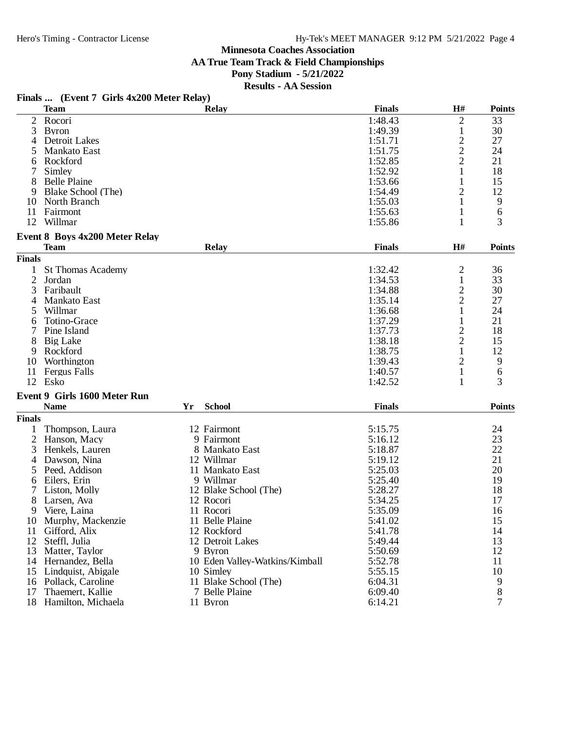**AA True Team Track & Field Championships**

# **Pony Stadium - 5/21/2022**

|  |  | Finals  (Event 7 Girls 4x200 Meter Relay) |  |  |
|--|--|-------------------------------------------|--|--|
|--|--|-------------------------------------------|--|--|

|                | <b>Team</b>                           |    | <b>Relay</b>                   | <b>Finals</b> | $\mathbf{H}$ # | <b>Points</b>  |
|----------------|---------------------------------------|----|--------------------------------|---------------|----------------|----------------|
| $\overline{2}$ | Rocori                                |    |                                | 1:48.43       | 2              | 33             |
| 3              | <b>Byron</b>                          |    |                                | 1:49.39       | $\mathbf{1}$   | 30             |
| 4              | Detroit Lakes                         |    |                                | 1:51.71       | $\overline{c}$ | 27             |
| 5              | Mankato East                          |    |                                | 1:51.75       | $\overline{c}$ | 24             |
| 6              | Rockford                              |    |                                | 1:52.85       | $\overline{2}$ | 21             |
|                | Simley                                |    |                                | 1:52.92       | 1              | 18             |
| 8              | <b>Belle Plaine</b>                   |    |                                | 1:53.66       | 1              | 15             |
| 9              | Blake School (The)                    |    |                                | 1:54.49       | $\overline{2}$ | 12             |
|                |                                       |    |                                |               |                |                |
| 10             | North Branch                          |    |                                | 1:55.03       | 1              | 9              |
| 11             | Fairmont                              |    |                                | 1:55.63       | 1              | 6              |
|                | 12 Willmar                            |    |                                | 1:55.86       | 1              | 3              |
|                | <b>Event 8 Boys 4x200 Meter Relay</b> |    |                                |               |                |                |
|                | <b>Team</b>                           |    | <b>Relay</b>                   | <b>Finals</b> | H#             | <b>Points</b>  |
| <b>Finals</b>  |                                       |    |                                |               |                |                |
| 1              | St Thomas Academy                     |    |                                | 1:32.42       | $\overline{c}$ | 36             |
| $\mathfrak{2}$ | Jordan                                |    |                                | 1:34.53       | $\mathbf{1}$   | 33             |
| 3              | Faribault                             |    |                                | 1:34.88       | $\overline{c}$ | 30             |
| 4              | Mankato East                          |    |                                | 1:35.14       | $\overline{2}$ | 27             |
| 5              | Willmar                               |    |                                | 1:36.68       | 1              | 24             |
| 6              | Totino-Grace                          |    |                                | 1:37.29       | 1              | 21             |
|                | Pine Island                           |    |                                | 1:37.73       | $\overline{c}$ | 18             |
|                | Big Lake                              |    |                                | 1:38.18       | $\overline{2}$ | 15             |
| 8              |                                       |    |                                | 1:38.75       |                |                |
| 9              | Rockford                              |    |                                |               | 1              | 12             |
| 10             | Worthington                           |    |                                | 1:39.43       | $\overline{2}$ | 9              |
| 11             | <b>Fergus Falls</b>                   |    |                                | 1:40.57       | 1              | 6              |
|                | 12 Esko                               |    |                                | 1:42.52       | 1              | 3              |
|                | <b>Event 9 Girls 1600 Meter Run</b>   |    |                                |               |                |                |
|                | <b>Name</b>                           | Yr | <b>School</b>                  | <b>Finals</b> |                | <b>Points</b>  |
| <b>Finals</b>  |                                       |    |                                |               |                |                |
|                | Thompson, Laura                       |    | 12 Fairmont                    | 5:15.75       |                | 24             |
| $\overline{c}$ | Hanson, Macy                          |    | 9 Fairmont                     | 5:16.12       |                | 23             |
| 3              | Henkels, Lauren                       |    | 8 Mankato East                 | 5:18.87       |                | 22             |
| 4              | Dawson, Nina                          |    | 12 Willmar                     | 5:19.12       |                | 21             |
|                | Peed, Addison                         |    | 11 Mankato East                | 5:25.03       |                | 20             |
| 6              | Eilers, Erin                          |    | 9 Willmar                      | 5:25.40       |                | 19             |
| 7              | Liston, Molly                         |    | 12 Blake School (The)          | 5:28.27       |                | 18             |
| 8              | Larsen, Ava                           |    | 12 Rocori                      | 5:34.25       |                | 17             |
|                |                                       |    |                                |               |                |                |
| 9              | Viere, Laina                          |    | 11 Rocori                      | 5:35.09       |                | 16             |
| 10             | Murphy, Mackenzie                     |    | 11 Belle Plaine                | 5:41.02       |                | 15             |
| 11             | Gifford, Alix                         |    | 12 Rockford                    | 5:41.78       |                | 14             |
| 12             | Steffl, Julia                         |    | 12 Detroit Lakes               | 5:49.44       |                | 13             |
| 13             | Matter, Taylor                        |    | 9 Byron                        | 5:50.69       |                | 12             |
| 14             | Hernandez, Bella                      |    | 10 Eden Valley-Watkins/Kimball | 5:52.78       |                | 11             |
| 15             | Lindquist, Abigale                    |    | 10 Simley                      | 5:55.15       |                | 10             |
|                | 16 Pollack, Caroline                  |    | 11 Blake School (The)          | 6:04.31       |                | 9              |
| 17             | Thaemert, Kallie                      |    | 7 Belle Plaine                 | 6:09.40       |                | 8              |
| 18             | Hamilton, Michaela                    |    | 11 Byron                       | 6:14.21       |                | $\overline{7}$ |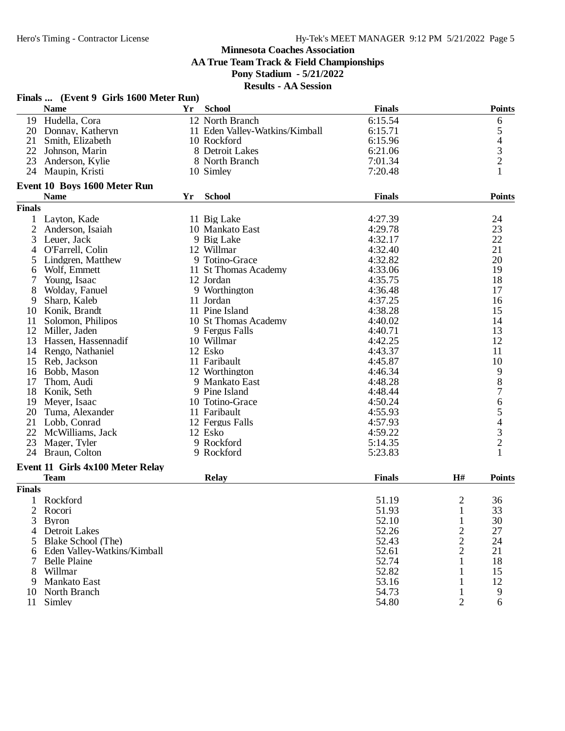**AA True Team Track & Field Championships**

**Pony Stadium - 5/21/2022**

|                | Finals  (Event 9 Girls 1600 Meter Run) |    |                                |               |                |                                                 |
|----------------|----------------------------------------|----|--------------------------------|---------------|----------------|-------------------------------------------------|
|                | <b>Name</b>                            | Yr | <b>School</b>                  | <b>Finals</b> |                | <b>Points</b>                                   |
|                | 19 Hudella, Cora                       |    | 12 North Branch                | 6:15.54       |                | 6                                               |
|                | 20 Donnay, Katheryn                    |    | 11 Eden Valley-Watkins/Kimball | 6:15.71       |                |                                                 |
| 21             | Smith, Elizabeth                       |    | 10 Rockford                    | 6:15.96       |                | $\begin{array}{c} 5 \\ 4 \\ 3 \\ 2 \end{array}$ |
| 22             | Johnson, Marin                         |    | 8 Detroit Lakes                | 6:21.06       |                |                                                 |
| 23             | Anderson, Kylie                        |    | 8 North Branch                 | 7:01.34       |                |                                                 |
| 24             | Maupin, Kristi                         |    | 10 Simley                      | 7:20.48       |                | 1                                               |
|                | Event 10 Boys 1600 Meter Run           |    |                                |               |                |                                                 |
|                | <b>Name</b>                            | Yr | <b>School</b>                  | <b>Finals</b> |                | <b>Points</b>                                   |
| <b>Finals</b>  |                                        |    |                                |               |                |                                                 |
|                | 1 Layton, Kade                         |    | 11 Big Lake                    | 4:27.39       |                | 24                                              |
| $\overline{2}$ | Anderson, Isaiah                       |    | 10 Mankato East                | 4:29.78       |                | 23                                              |
| 3              | Leuer, Jack                            |    | 9 Big Lake                     | 4:32.17       |                | 22                                              |
| 4              | O'Farrell, Colin                       |    | 12 Willmar                     | 4:32.40       |                | 21                                              |
| 5              | Lindgren, Matthew                      |    | 9 Totino-Grace                 | 4:32.82       |                | 20                                              |
| 6              | Wolf, Emmett                           |    | 11 St Thomas Academy           | 4:33.06       |                | 19                                              |
| 7              | Young, Isaac                           |    | 12 Jordan                      | 4:35.75       |                | 18                                              |
| 8              | Wolday, Fanuel                         |    | 9 Worthington                  | 4:36.48       |                | 17                                              |
| 9              | Sharp, Kaleb                           |    | 11 Jordan                      | 4:37.25       |                | 16                                              |
| 10             | Konik, Brandt                          |    | 11 Pine Island                 | 4:38.28       |                | 15                                              |
| 11             | Solomon, Philipos                      |    | 10 St Thomas Academy           | 4:40.02       |                | 14                                              |
| 12             | Miller, Jaden                          |    | 9 Fergus Falls                 | 4:40.71       |                | 13                                              |
| 13             | Hassen, Hassennadif                    |    | 10 Willmar                     | 4:42.25       |                | 12                                              |
| 14             | Rengo, Nathaniel                       |    | 12 Esko                        | 4:43.37       |                | 11                                              |
|                | 15 Reb, Jackson                        |    | 11 Faribault                   | 4:45.87       |                | 10                                              |
| 16             | Bobb, Mason                            |    | 12 Worthington                 | 4:46.34       |                | 9                                               |
| 17             | Thom, Audi                             |    | 9 Mankato East                 | 4:48.28       |                | $\bar{8}$                                       |
| 18             | Konik, Seth                            |    | 9 Pine Island                  | 4:48.44       |                |                                                 |
| 19             | Meyer, Isaac                           |    | 10 Totino-Grace                | 4:50.24       |                |                                                 |
| 20             | Tuma, Alexander                        |    | 11 Faribault                   | 4:55.93       |                | 765432                                          |
| 21             | Lobb, Conrad                           |    | 12 Fergus Falls                | 4:57.93       |                |                                                 |
| 22             | McWilliams, Jack                       |    | 12 Esko                        | 4:59.22       |                |                                                 |
| 23             | Mager, Tyler                           |    | 9 Rockford                     | 5:14.35       |                |                                                 |
|                | 24 Braun, Colton                       |    | 9 Rockford                     | 5:23.83       |                | $\mathbf{1}$                                    |
|                | Event 11 Girls 4x100 Meter Relay       |    |                                |               |                |                                                 |
|                | <b>Team</b>                            |    | <b>Relay</b>                   | <b>Finals</b> | H#             | <b>Points</b>                                   |
| <b>Finals</b>  |                                        |    |                                |               |                |                                                 |
|                | 1 Rockford                             |    |                                | 51.19         | $\overline{2}$ | 36                                              |
| $\overline{2}$ | Rocori                                 |    |                                | 51.93         | 1              | 33                                              |
| 3              | <b>Byron</b>                           |    |                                | 52.10         | 1              | 30                                              |
| 4              | Detroit Lakes                          |    |                                | 52.26         | $\overline{c}$ | 27                                              |
| 5              | Blake School (The)                     |    |                                | 52.43         | $\overline{c}$ | 24                                              |
| 6              | Eden Valley-Watkins/Kimball            |    |                                | 52.61         | $\overline{c}$ | 21                                              |
| 7              | <b>Belle Plaine</b>                    |    |                                | 52.74         | 1              | 18                                              |
|                | 8 Willmar                              |    |                                | 52.82         |                | 15                                              |
| 9              | <b>Mankato East</b>                    |    |                                | 53.16         | 1              | 12                                              |
| 10             | North Branch                           |    |                                | 54.73         | 1              | 9                                               |
| 11             | Simley                                 |    |                                | 54.80         | 2              | 6                                               |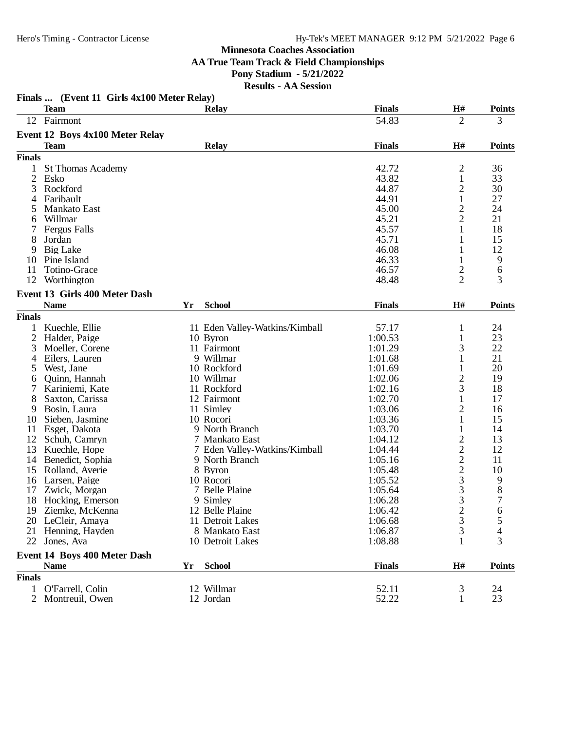**AA True Team Track & Field Championships**

**Pony Stadium - 5/21/2022**

|               | Finals  (Event 11 Girls 4x100 Meter Relay)     |    |                                |               |                                           |               |
|---------------|------------------------------------------------|----|--------------------------------|---------------|-------------------------------------------|---------------|
|               | <b>Team</b>                                    |    | <b>Relay</b>                   | <b>Finals</b> | H#                                        | <b>Points</b> |
|               | 12 Fairmont                                    |    |                                | 54.83         | $\overline{2}$                            | 3             |
|               | Event 12 Boys 4x100 Meter Relay<br><b>Team</b> |    | <b>Relay</b>                   | <b>Finals</b> | H#                                        | <b>Points</b> |
| <b>Finals</b> |                                                |    |                                |               |                                           |               |
|               | <b>St Thomas Academy</b>                       |    |                                | 42.72         |                                           | 36            |
| 1<br>2        | Esko                                           |    |                                | 43.82         | $\overline{c}$<br>1                       | 33            |
| 3             | Rockford                                       |    |                                | 44.87         | $\overline{c}$                            | 30            |
| 4             | Faribault                                      |    |                                | 44.91         | $\mathbf{1}$                              | 27            |
| 5             | <b>Mankato East</b>                            |    |                                | 45.00         |                                           | 24            |
|               | Willmar                                        |    |                                | 45.21         | $\overline{\mathbf{c}}$<br>$\overline{2}$ | 21            |
| 6             |                                                |    |                                | 45.57         | 1                                         |               |
|               | <b>Fergus Falls</b><br>Jordan                  |    |                                | 45.71         | 1                                         | 18<br>15      |
| 8             |                                                |    |                                |               |                                           | 12            |
| 9             | <b>Big Lake</b>                                |    |                                | 46.08         | 1                                         |               |
| 10            | Pine Island                                    |    |                                | 46.33         |                                           | 9             |
| 11            | Totino-Grace                                   |    |                                | 46.57         | $\overline{c}$<br>$\overline{2}$          | 6<br>3        |
| 12            | Worthington                                    |    |                                | 48.48         |                                           |               |
|               | Event 13 Girls 400 Meter Dash                  |    |                                |               |                                           |               |
|               | <b>Name</b>                                    | Yr | <b>School</b>                  | <b>Finals</b> | H#                                        | <b>Points</b> |
| <b>Finals</b> |                                                |    |                                |               |                                           |               |
|               | Kuechle, Ellie                                 |    | 11 Eden Valley-Watkins/Kimball | 57.17         | 1                                         | 24            |
| 2             | Halder, Paige                                  |    | 10 Byron                       | 1:00.53       | $\mathbf{1}$                              | 23            |
| 3             | Moeller, Corene                                |    | 11 Fairmont                    | 1:01.29       | 3                                         | 22            |
| 4             | Eilers, Lauren                                 |    | 9 Willmar                      | 1:01.68       | 1                                         | 21            |
| 5             | West, Jane                                     |    | 10 Rockford                    | 1:01.69       |                                           | 20            |
| 6             | Quinn, Hannah                                  |    | 10 Willmar                     | 1:02.06       | 2                                         | 19            |
|               | Kariniemi, Kate                                |    | 11 Rockford                    | 1:02.16       | 3                                         | 18            |
| 8             | Saxton, Carissa                                |    | 12 Fairmont                    | 1:02.70       | 1                                         | 17            |
| 9             | Bosin, Laura                                   |    | 11 Simley                      | 1:03.06       | $\overline{c}$                            | 16            |
| 10            | Sieben, Jasmine                                |    | 10 Rocori                      | 1:03.36       | $\mathbf{1}$                              | 15            |
| 11            | Esget, Dakota                                  |    | 9 North Branch                 | 1:03.70       |                                           | 14            |
| 12            | Schuh, Camryn                                  |    | 7 Mankato East                 | 1:04.12       | $\overline{c}$                            | 13            |
| 13            | Kuechle, Hope                                  |    | 7 Eden Valley-Watkins/Kimball  | 1:04.44       | $\overline{c}$                            | 12            |
| 14            | Benedict, Sophia                               |    | 9 North Branch                 | 1:05.16       | $\overline{c}$                            | 11            |
| 15            | Rolland, Averie                                |    | 8 Byron                        | 1:05.48       | $\overline{c}$                            | 10            |
| 16            | Larsen, Paige                                  |    | 10 Rocori                      | 1:05.52       | 3                                         | 9             |
| 17            | Zwick, Morgan                                  |    | 7 Belle Plaine                 | 1:05.64       | 3                                         | 8             |
|               | 18 Hocking, Emerson                            |    | 9 Simley                       | 1:06.28       | 3                                         | 7             |
|               | 19 Ziemke, McKenna                             |    | 12 Belle Plaine                | 1:06.42       | $rac{2}{3}$                               | 6             |
|               | 20 LeCleir, Amaya                              |    | 11 Detroit Lakes               | 1:06.68       |                                           | 5             |
| 21            | Henning, Hayden                                |    | 8 Mankato East                 | 1:06.87       | 3                                         |               |
|               | 22 Jones, Ava                                  |    | 10 Detroit Lakes               | 1:08.88       | 1                                         | 3             |
|               | Event 14 Boys 400 Meter Dash                   |    |                                |               |                                           |               |
|               | <b>Name</b>                                    | Yr | <b>School</b>                  | <b>Finals</b> | H#                                        | <b>Points</b> |
| <b>Finals</b> |                                                |    |                                |               |                                           |               |
|               | O'Farrell, Colin                               |    | 12 Willmar                     | 52.11         | 3                                         | 24            |
| 2             | Montreuil, Owen                                |    | 12 Jordan                      | 52.22         | 1                                         | 23            |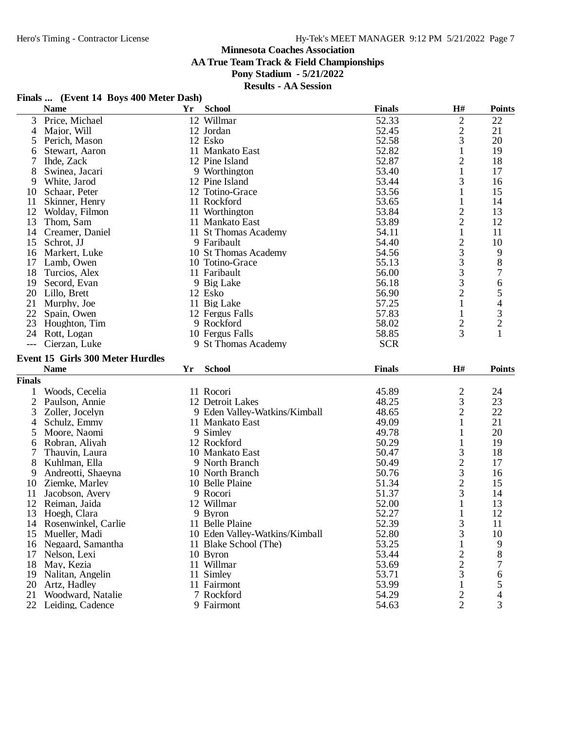**AA True Team Track & Field Championships**

#### **Pony Stadium - 5/21/2022**

|                | <b>Name</b>                        | Yr | <b>School</b>                  | <b>Finals</b>  | $\mathbf{H}$ #                             | <b>Points</b>       |
|----------------|------------------------------------|----|--------------------------------|----------------|--------------------------------------------|---------------------|
| 3              | Price, Michael                     |    | 12 Willmar                     | 52.33          | $\overline{c}$                             | 22                  |
| 4              | Major, Will                        |    | 12 Jordan                      | 52.45          | $\overline{c}$                             | 21                  |
| 5              | Perich, Mason                      |    | 12 Esko                        | 52.58          | 3                                          | 20                  |
| 6              | Stewart, Aaron                     |    | 11 Mankato East                | 52.82          | $\mathbf{1}$                               | 19                  |
| 7              | Ihde, Zack                         |    | 12 Pine Island                 | 52.87          | $\overline{c}$                             | 18                  |
| 8              | Swinea, Jacari                     |    | 9 Worthington                  | 53.40          | $\mathbf{1}$                               | 17                  |
| 9              | White, Jarod                       |    | 12 Pine Island                 | 53.44          | 3                                          | 16                  |
| 10             | Schaar, Peter                      |    | 12 Totino-Grace                | 53.56          | 1                                          | 15                  |
| 11             | Skinner, Henry                     |    | 11 Rockford                    | 53.65          | $\mathbf{1}$                               | 14                  |
| 12             | Wolday, Filmon                     |    | 11 Worthington                 | 53.84          | $\overline{c}$                             | 13                  |
| 13             | Thom, Sam                          |    | 11 Mankato East                | 53.89          | $\overline{2}$                             | 12                  |
| 14             | Creamer, Daniel                    |    | 11 St Thomas Academy           | 54.11          | 1                                          | 11                  |
| 15             | Schrot, JJ                         |    | 9 Faribault                    | 54.40          | $\overline{c}$                             | 10                  |
| 16             | Markert, Luke                      |    | 10 St Thomas Academy           | 54.56          | 3                                          | 9                   |
| 17             | Lamb, Owen                         |    | 10 Totino-Grace                | 55.13          |                                            | $\,8\,$             |
| 18             | Turcios, Alex                      |    | 11 Faribault                   | 56.00          | $\begin{array}{c} 3 \\ 3 \\ 2 \end{array}$ | 7                   |
| 19             | Secord, Evan                       |    | 9 Big Lake                     | 56.18          |                                            | 6                   |
| 20             | Lillo, Brett                       |    | 12 Esko                        | 56.90          |                                            | 5                   |
| 21             | Murphy, Joe                        |    | 11 Big Lake                    | 57.25          | $\mathbf{1}$                               | $\overline{4}$      |
| 22             | Spain, Owen                        |    | 12 Fergus Falls                | 57.83          | 1                                          | $\mathfrak 3$       |
| 23             | Houghton, Tim                      |    | 9 Rockford                     | 58.02          | $\overline{c}$                             | $\overline{2}$      |
| 24             | Rott, Logan                        |    | 10 Fergus Falls                | 58.85          | $\overline{3}$                             |                     |
|                |                                    |    |                                |                |                                            |                     |
| $---$          | Cierzan, Luke                      |    | 9 St Thomas Academy            | <b>SCR</b>     |                                            |                     |
|                |                                    |    |                                |                |                                            |                     |
|                | Event 15 Girls 300 Meter Hurdles   |    |                                |                |                                            |                     |
|                | <b>Name</b>                        | Yr | <b>School</b>                  | <b>Finals</b>  | H#                                         | <b>Points</b>       |
| <b>Finals</b>  |                                    |    |                                |                |                                            |                     |
|                | Woods, Cecelia                     |    | 11 Rocori                      | 45.89          | $\overline{c}$                             | 24                  |
| $\mathfrak{2}$ | Paulson, Annie                     |    | 12 Detroit Lakes               | 48.25          | 3                                          | 23                  |
| 3              | Zoller, Jocelyn                    |    | 9 Eden Valley-Watkins/Kimball  | 48.65          | $\overline{c}$                             | 22                  |
| $\overline{4}$ | Schulz, Emmy                       |    | 11 Mankato East                | 49.09          | $\mathbf{1}$                               | 21                  |
| 5              | Moore, Naomi                       |    | 9 Simley                       | 49.78          | 1                                          | 20                  |
| 6              | Robran, Aliyah                     |    | 12 Rockford                    | 50.29          | 1                                          | 19                  |
| 7              | Thauvin, Laura                     |    | 10 Mankato East                | 50.47          |                                            | 18                  |
| 8              | Kuhlman, Ella                      |    | 9 North Branch                 | 50.49          |                                            | 17                  |
| 9              | Andreotti, Shaeyna                 |    | 10 North Branch                | 50.76          | $\frac{3}{2}$                              | 16                  |
| 10             | Ziemke, Marley                     |    | 10 Belle Plaine                | 51.34          | $\overline{c}$                             | 15                  |
| 11             | Jacobson, Avery                    |    | 9 Rocori                       | 51.37          | 3                                          | 14                  |
| 12             | Reiman, Jaida                      |    | 12 Willmar                     | 52.00          | 1                                          | 13                  |
| 13             | Hoegh, Clara                       |    | 9 Byron                        | 52.27          | 1                                          | 12                  |
| 14             | Rosenwinkel, Carlie                |    | 11 Belle Plaine                | 52.39          |                                            | 11                  |
| 15             |                                    |    | 10 Eden Valley-Watkins/Kimball |                | 3                                          |                     |
| 16             | Mueller, Madi<br>Negaard, Samantha |    | 11 Blake School (The)          | 52.80<br>53.25 | 3<br>$\mathbf{1}$                          | 10<br>9             |
| 17             | Nelson, Lexi                       |    |                                |                |                                            |                     |
|                |                                    |    | 10 Byron<br>11 Willmar         | 53.44          |                                            | 8<br>7              |
| 18             | May, Kezia                         |    |                                | 53.69          |                                            |                     |
| 19             | Nalitan, Angelin                   |    | 11 Simley                      | 53.71          | $\frac{2}{3}$                              | 6                   |
| 20<br>21       | Artz, Hadley<br>Woodward, Natalie  |    | 11 Fairmont<br>7 Rockford      | 53.99<br>54.29 | $\,1$<br>$\overline{\mathbf{c}}$           | $\mathfrak{S}$<br>4 |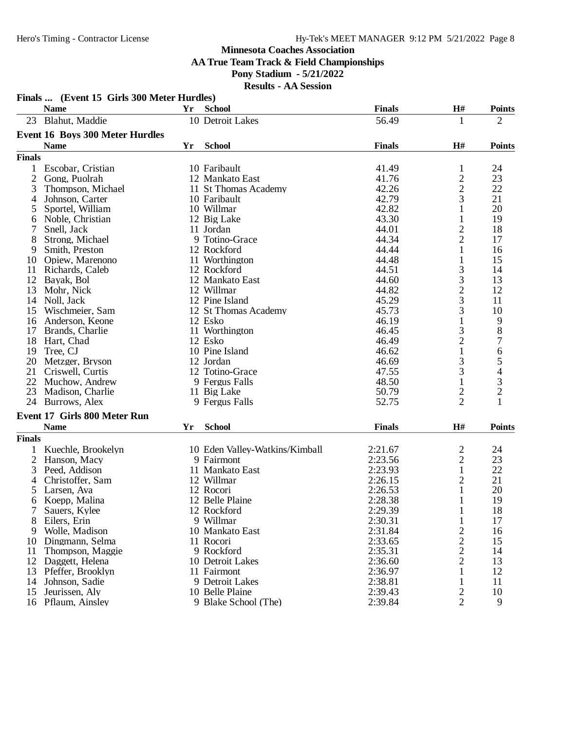**AA True Team Track & Field Championships**

**Pony Stadium - 5/21/2022**

| <b>Name</b>                         | Yr                                                                                                                                                                                                                                                                                                                                                                                                                                                                                                                                                                                                                                                                                                                                                                  | <b>School</b> | <b>Finals</b>                                                                                                                                                                                                                                                                                                                                                                                                                                                                                                                                                                                                                                                                                                                                                                       | H#                                                                                                                                                                                                                                                                                                                                                                                   | <b>Points</b>                                                                                                                                                                                                                                                                                                                                                                                                                             |
|-------------------------------------|---------------------------------------------------------------------------------------------------------------------------------------------------------------------------------------------------------------------------------------------------------------------------------------------------------------------------------------------------------------------------------------------------------------------------------------------------------------------------------------------------------------------------------------------------------------------------------------------------------------------------------------------------------------------------------------------------------------------------------------------------------------------|---------------|-------------------------------------------------------------------------------------------------------------------------------------------------------------------------------------------------------------------------------------------------------------------------------------------------------------------------------------------------------------------------------------------------------------------------------------------------------------------------------------------------------------------------------------------------------------------------------------------------------------------------------------------------------------------------------------------------------------------------------------------------------------------------------------|--------------------------------------------------------------------------------------------------------------------------------------------------------------------------------------------------------------------------------------------------------------------------------------------------------------------------------------------------------------------------------------|-------------------------------------------------------------------------------------------------------------------------------------------------------------------------------------------------------------------------------------------------------------------------------------------------------------------------------------------------------------------------------------------------------------------------------------------|
| Blahut, Maddie                      |                                                                                                                                                                                                                                                                                                                                                                                                                                                                                                                                                                                                                                                                                                                                                                     |               | 56.49                                                                                                                                                                                                                                                                                                                                                                                                                                                                                                                                                                                                                                                                                                                                                                               | 1                                                                                                                                                                                                                                                                                                                                                                                    | $\overline{2}$                                                                                                                                                                                                                                                                                                                                                                                                                            |
|                                     |                                                                                                                                                                                                                                                                                                                                                                                                                                                                                                                                                                                                                                                                                                                                                                     |               |                                                                                                                                                                                                                                                                                                                                                                                                                                                                                                                                                                                                                                                                                                                                                                                     |                                                                                                                                                                                                                                                                                                                                                                                      |                                                                                                                                                                                                                                                                                                                                                                                                                                           |
| <b>Name</b>                         | Yr                                                                                                                                                                                                                                                                                                                                                                                                                                                                                                                                                                                                                                                                                                                                                                  |               | <b>Finals</b>                                                                                                                                                                                                                                                                                                                                                                                                                                                                                                                                                                                                                                                                                                                                                                       | H#                                                                                                                                                                                                                                                                                                                                                                                   | <b>Points</b>                                                                                                                                                                                                                                                                                                                                                                                                                             |
|                                     |                                                                                                                                                                                                                                                                                                                                                                                                                                                                                                                                                                                                                                                                                                                                                                     |               |                                                                                                                                                                                                                                                                                                                                                                                                                                                                                                                                                                                                                                                                                                                                                                                     |                                                                                                                                                                                                                                                                                                                                                                                      |                                                                                                                                                                                                                                                                                                                                                                                                                                           |
|                                     |                                                                                                                                                                                                                                                                                                                                                                                                                                                                                                                                                                                                                                                                                                                                                                     |               |                                                                                                                                                                                                                                                                                                                                                                                                                                                                                                                                                                                                                                                                                                                                                                                     |                                                                                                                                                                                                                                                                                                                                                                                      | 24                                                                                                                                                                                                                                                                                                                                                                                                                                        |
|                                     |                                                                                                                                                                                                                                                                                                                                                                                                                                                                                                                                                                                                                                                                                                                                                                     |               |                                                                                                                                                                                                                                                                                                                                                                                                                                                                                                                                                                                                                                                                                                                                                                                     |                                                                                                                                                                                                                                                                                                                                                                                      | 23                                                                                                                                                                                                                                                                                                                                                                                                                                        |
|                                     |                                                                                                                                                                                                                                                                                                                                                                                                                                                                                                                                                                                                                                                                                                                                                                     |               |                                                                                                                                                                                                                                                                                                                                                                                                                                                                                                                                                                                                                                                                                                                                                                                     |                                                                                                                                                                                                                                                                                                                                                                                      | 22                                                                                                                                                                                                                                                                                                                                                                                                                                        |
|                                     |                                                                                                                                                                                                                                                                                                                                                                                                                                                                                                                                                                                                                                                                                                                                                                     |               |                                                                                                                                                                                                                                                                                                                                                                                                                                                                                                                                                                                                                                                                                                                                                                                     |                                                                                                                                                                                                                                                                                                                                                                                      | 21                                                                                                                                                                                                                                                                                                                                                                                                                                        |
|                                     |                                                                                                                                                                                                                                                                                                                                                                                                                                                                                                                                                                                                                                                                                                                                                                     |               |                                                                                                                                                                                                                                                                                                                                                                                                                                                                                                                                                                                                                                                                                                                                                                                     |                                                                                                                                                                                                                                                                                                                                                                                      | 20                                                                                                                                                                                                                                                                                                                                                                                                                                        |
|                                     |                                                                                                                                                                                                                                                                                                                                                                                                                                                                                                                                                                                                                                                                                                                                                                     |               |                                                                                                                                                                                                                                                                                                                                                                                                                                                                                                                                                                                                                                                                                                                                                                                     |                                                                                                                                                                                                                                                                                                                                                                                      | 19                                                                                                                                                                                                                                                                                                                                                                                                                                        |
|                                     |                                                                                                                                                                                                                                                                                                                                                                                                                                                                                                                                                                                                                                                                                                                                                                     |               |                                                                                                                                                                                                                                                                                                                                                                                                                                                                                                                                                                                                                                                                                                                                                                                     |                                                                                                                                                                                                                                                                                                                                                                                      | 18                                                                                                                                                                                                                                                                                                                                                                                                                                        |
|                                     |                                                                                                                                                                                                                                                                                                                                                                                                                                                                                                                                                                                                                                                                                                                                                                     |               |                                                                                                                                                                                                                                                                                                                                                                                                                                                                                                                                                                                                                                                                                                                                                                                     |                                                                                                                                                                                                                                                                                                                                                                                      | 17                                                                                                                                                                                                                                                                                                                                                                                                                                        |
|                                     |                                                                                                                                                                                                                                                                                                                                                                                                                                                                                                                                                                                                                                                                                                                                                                     |               |                                                                                                                                                                                                                                                                                                                                                                                                                                                                                                                                                                                                                                                                                                                                                                                     |                                                                                                                                                                                                                                                                                                                                                                                      | 16                                                                                                                                                                                                                                                                                                                                                                                                                                        |
|                                     |                                                                                                                                                                                                                                                                                                                                                                                                                                                                                                                                                                                                                                                                                                                                                                     |               |                                                                                                                                                                                                                                                                                                                                                                                                                                                                                                                                                                                                                                                                                                                                                                                     |                                                                                                                                                                                                                                                                                                                                                                                      | 15                                                                                                                                                                                                                                                                                                                                                                                                                                        |
|                                     |                                                                                                                                                                                                                                                                                                                                                                                                                                                                                                                                                                                                                                                                                                                                                                     |               |                                                                                                                                                                                                                                                                                                                                                                                                                                                                                                                                                                                                                                                                                                                                                                                     |                                                                                                                                                                                                                                                                                                                                                                                      | 14                                                                                                                                                                                                                                                                                                                                                                                                                                        |
|                                     |                                                                                                                                                                                                                                                                                                                                                                                                                                                                                                                                                                                                                                                                                                                                                                     |               |                                                                                                                                                                                                                                                                                                                                                                                                                                                                                                                                                                                                                                                                                                                                                                                     |                                                                                                                                                                                                                                                                                                                                                                                      | 13                                                                                                                                                                                                                                                                                                                                                                                                                                        |
|                                     |                                                                                                                                                                                                                                                                                                                                                                                                                                                                                                                                                                                                                                                                                                                                                                     |               |                                                                                                                                                                                                                                                                                                                                                                                                                                                                                                                                                                                                                                                                                                                                                                                     |                                                                                                                                                                                                                                                                                                                                                                                      | 12                                                                                                                                                                                                                                                                                                                                                                                                                                        |
|                                     |                                                                                                                                                                                                                                                                                                                                                                                                                                                                                                                                                                                                                                                                                                                                                                     |               |                                                                                                                                                                                                                                                                                                                                                                                                                                                                                                                                                                                                                                                                                                                                                                                     |                                                                                                                                                                                                                                                                                                                                                                                      | 11                                                                                                                                                                                                                                                                                                                                                                                                                                        |
|                                     |                                                                                                                                                                                                                                                                                                                                                                                                                                                                                                                                                                                                                                                                                                                                                                     |               |                                                                                                                                                                                                                                                                                                                                                                                                                                                                                                                                                                                                                                                                                                                                                                                     |                                                                                                                                                                                                                                                                                                                                                                                      | 10                                                                                                                                                                                                                                                                                                                                                                                                                                        |
|                                     |                                                                                                                                                                                                                                                                                                                                                                                                                                                                                                                                                                                                                                                                                                                                                                     |               |                                                                                                                                                                                                                                                                                                                                                                                                                                                                                                                                                                                                                                                                                                                                                                                     |                                                                                                                                                                                                                                                                                                                                                                                      |                                                                                                                                                                                                                                                                                                                                                                                                                                           |
|                                     |                                                                                                                                                                                                                                                                                                                                                                                                                                                                                                                                                                                                                                                                                                                                                                     |               |                                                                                                                                                                                                                                                                                                                                                                                                                                                                                                                                                                                                                                                                                                                                                                                     |                                                                                                                                                                                                                                                                                                                                                                                      | 9                                                                                                                                                                                                                                                                                                                                                                                                                                         |
|                                     |                                                                                                                                                                                                                                                                                                                                                                                                                                                                                                                                                                                                                                                                                                                                                                     |               |                                                                                                                                                                                                                                                                                                                                                                                                                                                                                                                                                                                                                                                                                                                                                                                     |                                                                                                                                                                                                                                                                                                                                                                                      | 8                                                                                                                                                                                                                                                                                                                                                                                                                                         |
|                                     |                                                                                                                                                                                                                                                                                                                                                                                                                                                                                                                                                                                                                                                                                                                                                                     |               |                                                                                                                                                                                                                                                                                                                                                                                                                                                                                                                                                                                                                                                                                                                                                                                     |                                                                                                                                                                                                                                                                                                                                                                                      | $\overline{7}$                                                                                                                                                                                                                                                                                                                                                                                                                            |
|                                     |                                                                                                                                                                                                                                                                                                                                                                                                                                                                                                                                                                                                                                                                                                                                                                     |               |                                                                                                                                                                                                                                                                                                                                                                                                                                                                                                                                                                                                                                                                                                                                                                                     |                                                                                                                                                                                                                                                                                                                                                                                      | 6                                                                                                                                                                                                                                                                                                                                                                                                                                         |
|                                     |                                                                                                                                                                                                                                                                                                                                                                                                                                                                                                                                                                                                                                                                                                                                                                     |               |                                                                                                                                                                                                                                                                                                                                                                                                                                                                                                                                                                                                                                                                                                                                                                                     |                                                                                                                                                                                                                                                                                                                                                                                      | $\begin{array}{c} 5 \\ 4 \\ 3 \\ 2 \end{array}$                                                                                                                                                                                                                                                                                                                                                                                           |
|                                     |                                                                                                                                                                                                                                                                                                                                                                                                                                                                                                                                                                                                                                                                                                                                                                     |               |                                                                                                                                                                                                                                                                                                                                                                                                                                                                                                                                                                                                                                                                                                                                                                                     |                                                                                                                                                                                                                                                                                                                                                                                      |                                                                                                                                                                                                                                                                                                                                                                                                                                           |
|                                     |                                                                                                                                                                                                                                                                                                                                                                                                                                                                                                                                                                                                                                                                                                                                                                     |               |                                                                                                                                                                                                                                                                                                                                                                                                                                                                                                                                                                                                                                                                                                                                                                                     |                                                                                                                                                                                                                                                                                                                                                                                      |                                                                                                                                                                                                                                                                                                                                                                                                                                           |
|                                     |                                                                                                                                                                                                                                                                                                                                                                                                                                                                                                                                                                                                                                                                                                                                                                     |               |                                                                                                                                                                                                                                                                                                                                                                                                                                                                                                                                                                                                                                                                                                                                                                                     |                                                                                                                                                                                                                                                                                                                                                                                      |                                                                                                                                                                                                                                                                                                                                                                                                                                           |
|                                     |                                                                                                                                                                                                                                                                                                                                                                                                                                                                                                                                                                                                                                                                                                                                                                     |               |                                                                                                                                                                                                                                                                                                                                                                                                                                                                                                                                                                                                                                                                                                                                                                                     |                                                                                                                                                                                                                                                                                                                                                                                      | $\mathbf{1}$                                                                                                                                                                                                                                                                                                                                                                                                                              |
| <b>Event 17 Girls 800 Meter Run</b> |                                                                                                                                                                                                                                                                                                                                                                                                                                                                                                                                                                                                                                                                                                                                                                     |               |                                                                                                                                                                                                                                                                                                                                                                                                                                                                                                                                                                                                                                                                                                                                                                                     |                                                                                                                                                                                                                                                                                                                                                                                      |                                                                                                                                                                                                                                                                                                                                                                                                                                           |
|                                     | Yr                                                                                                                                                                                                                                                                                                                                                                                                                                                                                                                                                                                                                                                                                                                                                                  |               |                                                                                                                                                                                                                                                                                                                                                                                                                                                                                                                                                                                                                                                                                                                                                                                     |                                                                                                                                                                                                                                                                                                                                                                                      | <b>Points</b>                                                                                                                                                                                                                                                                                                                                                                                                                             |
|                                     |                                                                                                                                                                                                                                                                                                                                                                                                                                                                                                                                                                                                                                                                                                                                                                     |               |                                                                                                                                                                                                                                                                                                                                                                                                                                                                                                                                                                                                                                                                                                                                                                                     |                                                                                                                                                                                                                                                                                                                                                                                      |                                                                                                                                                                                                                                                                                                                                                                                                                                           |
|                                     |                                                                                                                                                                                                                                                                                                                                                                                                                                                                                                                                                                                                                                                                                                                                                                     |               | 2:21.67                                                                                                                                                                                                                                                                                                                                                                                                                                                                                                                                                                                                                                                                                                                                                                             |                                                                                                                                                                                                                                                                                                                                                                                      | 24                                                                                                                                                                                                                                                                                                                                                                                                                                        |
|                                     |                                                                                                                                                                                                                                                                                                                                                                                                                                                                                                                                                                                                                                                                                                                                                                     |               | 2:23.56                                                                                                                                                                                                                                                                                                                                                                                                                                                                                                                                                                                                                                                                                                                                                                             |                                                                                                                                                                                                                                                                                                                                                                                      | 23                                                                                                                                                                                                                                                                                                                                                                                                                                        |
| Peed, Addison                       |                                                                                                                                                                                                                                                                                                                                                                                                                                                                                                                                                                                                                                                                                                                                                                     |               |                                                                                                                                                                                                                                                                                                                                                                                                                                                                                                                                                                                                                                                                                                                                                                                     | 1                                                                                                                                                                                                                                                                                                                                                                                    | 22                                                                                                                                                                                                                                                                                                                                                                                                                                        |
|                                     |                                                                                                                                                                                                                                                                                                                                                                                                                                                                                                                                                                                                                                                                                                                                                                     |               |                                                                                                                                                                                                                                                                                                                                                                                                                                                                                                                                                                                                                                                                                                                                                                                     |                                                                                                                                                                                                                                                                                                                                                                                      | 21                                                                                                                                                                                                                                                                                                                                                                                                                                        |
|                                     |                                                                                                                                                                                                                                                                                                                                                                                                                                                                                                                                                                                                                                                                                                                                                                     |               |                                                                                                                                                                                                                                                                                                                                                                                                                                                                                                                                                                                                                                                                                                                                                                                     | $\mathbf{1}$                                                                                                                                                                                                                                                                                                                                                                         | 20                                                                                                                                                                                                                                                                                                                                                                                                                                        |
|                                     |                                                                                                                                                                                                                                                                                                                                                                                                                                                                                                                                                                                                                                                                                                                                                                     |               |                                                                                                                                                                                                                                                                                                                                                                                                                                                                                                                                                                                                                                                                                                                                                                                     | 1                                                                                                                                                                                                                                                                                                                                                                                    | 19                                                                                                                                                                                                                                                                                                                                                                                                                                        |
|                                     |                                                                                                                                                                                                                                                                                                                                                                                                                                                                                                                                                                                                                                                                                                                                                                     |               |                                                                                                                                                                                                                                                                                                                                                                                                                                                                                                                                                                                                                                                                                                                                                                                     |                                                                                                                                                                                                                                                                                                                                                                                      | 18                                                                                                                                                                                                                                                                                                                                                                                                                                        |
|                                     |                                                                                                                                                                                                                                                                                                                                                                                                                                                                                                                                                                                                                                                                                                                                                                     |               |                                                                                                                                                                                                                                                                                                                                                                                                                                                                                                                                                                                                                                                                                                                                                                                     |                                                                                                                                                                                                                                                                                                                                                                                      | 17                                                                                                                                                                                                                                                                                                                                                                                                                                        |
|                                     |                                                                                                                                                                                                                                                                                                                                                                                                                                                                                                                                                                                                                                                                                                                                                                     |               |                                                                                                                                                                                                                                                                                                                                                                                                                                                                                                                                                                                                                                                                                                                                                                                     |                                                                                                                                                                                                                                                                                                                                                                                      | 16                                                                                                                                                                                                                                                                                                                                                                                                                                        |
|                                     |                                                                                                                                                                                                                                                                                                                                                                                                                                                                                                                                                                                                                                                                                                                                                                     |               |                                                                                                                                                                                                                                                                                                                                                                                                                                                                                                                                                                                                                                                                                                                                                                                     |                                                                                                                                                                                                                                                                                                                                                                                      | 15                                                                                                                                                                                                                                                                                                                                                                                                                                        |
|                                     |                                                                                                                                                                                                                                                                                                                                                                                                                                                                                                                                                                                                                                                                                                                                                                     |               |                                                                                                                                                                                                                                                                                                                                                                                                                                                                                                                                                                                                                                                                                                                                                                                     |                                                                                                                                                                                                                                                                                                                                                                                      | 14                                                                                                                                                                                                                                                                                                                                                                                                                                        |
|                                     |                                                                                                                                                                                                                                                                                                                                                                                                                                                                                                                                                                                                                                                                                                                                                                     |               |                                                                                                                                                                                                                                                                                                                                                                                                                                                                                                                                                                                                                                                                                                                                                                                     |                                                                                                                                                                                                                                                                                                                                                                                      | 13                                                                                                                                                                                                                                                                                                                                                                                                                                        |
|                                     |                                                                                                                                                                                                                                                                                                                                                                                                                                                                                                                                                                                                                                                                                                                                                                     |               |                                                                                                                                                                                                                                                                                                                                                                                                                                                                                                                                                                                                                                                                                                                                                                                     |                                                                                                                                                                                                                                                                                                                                                                                      | 12                                                                                                                                                                                                                                                                                                                                                                                                                                        |
|                                     |                                                                                                                                                                                                                                                                                                                                                                                                                                                                                                                                                                                                                                                                                                                                                                     |               |                                                                                                                                                                                                                                                                                                                                                                                                                                                                                                                                                                                                                                                                                                                                                                                     |                                                                                                                                                                                                                                                                                                                                                                                      | 11                                                                                                                                                                                                                                                                                                                                                                                                                                        |
|                                     |                                                                                                                                                                                                                                                                                                                                                                                                                                                                                                                                                                                                                                                                                                                                                                     |               |                                                                                                                                                                                                                                                                                                                                                                                                                                                                                                                                                                                                                                                                                                                                                                                     |                                                                                                                                                                                                                                                                                                                                                                                      | 10                                                                                                                                                                                                                                                                                                                                                                                                                                        |
| Pflaum, Ainsley                     |                                                                                                                                                                                                                                                                                                                                                                                                                                                                                                                                                                                                                                                                                                                                                                     |               |                                                                                                                                                                                                                                                                                                                                                                                                                                                                                                                                                                                                                                                                                                                                                                                     | $\overline{2}$                                                                                                                                                                                                                                                                                                                                                                       | 9                                                                                                                                                                                                                                                                                                                                                                                                                                         |
|                                     | <b>Event 16 Boys 300 Meter Hurdles</b><br>Escobar, Cristian<br>Gong, Puolrah<br>Thompson, Michael<br>Johnson, Carter<br>Sportel, William<br>Noble, Christian<br>Snell, Jack<br>Strong, Michael<br>Smith, Preston<br>Opiew, Marenono<br>Richards, Caleb<br>Bayak, Bol<br>Mohr, Nick<br>Noll, Jack<br>Wischmeier, Sam<br>Anderson, Keone<br>Brands, Charlie<br>Hart, Chad<br>Tree, CJ<br>Metzger, Bryson<br>21 Criswell, Curtis<br>Muchow, Andrew<br>Madison, Charlie<br>Burrows, Alex<br><b>Name</b><br>Kuechle, Brookelyn<br>Hanson, Macy<br>Christoffer, Sam<br>Larsen, Ava<br>Koepp, Malina<br>Sauers, Kylee<br>Eilers, Erin<br>Wolle, Madison<br>Dingmann, Selma<br>Thompson, Maggie<br>Daggett, Helena<br>Pfeffer, Brooklyn<br>Johnson, Sadie<br>Jeurissen, Aly |               | Finals  (Event 15 Girls 300 Meter Hurdles)<br>10 Detroit Lakes<br><b>School</b><br>10 Faribault<br>12 Mankato East<br>11 St Thomas Academy<br>10 Faribault<br>10 Willmar<br>12 Big Lake<br>11 Jordan<br>9 Totino-Grace<br>12 Rockford<br>11 Worthington<br>12 Rockford<br>12 Mankato East<br>12 Willmar<br>12 Pine Island<br>12 St Thomas Academy<br>12 Esko<br>11 Worthington<br>12 Esko<br>10 Pine Island<br>12 Jordan<br>12 Totino-Grace<br>9 Fergus Falls<br>11 Big Lake<br>9 Fergus Falls<br><b>School</b><br>10 Eden Valley-Watkins/Kimball<br>9 Fairmont<br>11 Mankato East<br>12 Willmar<br>12 Rocori<br>12 Belle Plaine<br>12 Rockford<br>9 Willmar<br>10 Mankato East<br>11 Rocori<br>9 Rockford<br>10 Detroit Lakes<br>11 Fairmont<br>9 Detroit Lakes<br>10 Belle Plaine | 41.49<br>41.76<br>42.26<br>42.79<br>42.82<br>43.30<br>44.01<br>44.34<br>44.44<br>44.48<br>44.51<br>44.60<br>44.82<br>45.29<br>45.73<br>46.19<br>46.45<br>46.49<br>46.62<br>46.69<br>47.55<br>48.50<br>50.79<br>52.75<br><b>Finals</b><br>2:23.93<br>2:26.15<br>2:26.53<br>2:28.38<br>2:29.39<br>2:30.31<br>2:31.84<br>2:33.65<br>2:35.31<br>2:36.60<br>2:36.97<br>2:38.81<br>2:39.43 | $\mathbf{1}$<br>$\frac{2}{2}$<br>3<br>1<br>1<br>$\overline{c}$<br>$\overline{c}$<br>1<br>1<br>3<br>3<br>$\overline{c}$<br>3<br>3<br>1<br>3<br>$\overline{c}$<br>$\mathbf{1}$<br>3<br>3<br>1<br>$\overline{c}$<br>$\overline{2}$<br>H#<br>$\overline{\mathbf{c}}$<br>$\mathbf{2}$<br>$\overline{c}$<br>$\mathbf{1}$<br>1<br>$\overline{c}$<br>$\begin{array}{c} 2 \\ 2 \\ 2 \end{array}$<br>1<br>1<br>2<br>9 Blake School (The)<br>2:39.84 |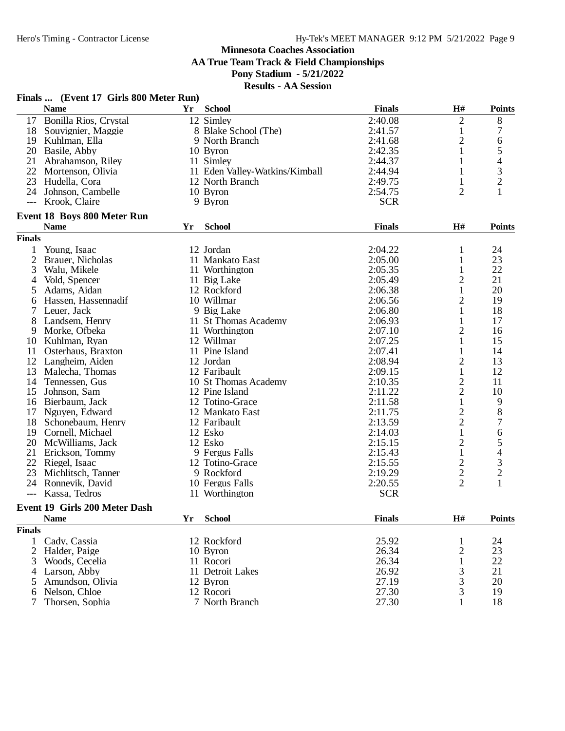**AA True Team Track & Field Championships**

**Pony Stadium - 5/21/2022**

|                | Finals  (Event 17 Girls 800 Meter Run) |    |                                |               |                |                |
|----------------|----------------------------------------|----|--------------------------------|---------------|----------------|----------------|
|                | <b>Name</b>                            | Yr | <b>School</b>                  | <b>Finals</b> | H#             | <b>Points</b>  |
| 17             | Bonilla Rios, Crystal                  |    | 12 Simley                      | 2:40.08       | 2              | $8\,$          |
| 18             | Souvignier, Maggie                     |    | 8 Blake School (The)           | 2:41.57       | $\mathbf{1}$   | $\tau$         |
|                | 19 Kuhlman, Ella                       |    | 9 North Branch                 | 2:41.68       | $\overline{c}$ | $\sqrt{6}$     |
|                | 20 Basile, Abby                        |    | 10 Byron                       | 2:42.35       | 1              | 5              |
| 21             | Abrahamson, Riley                      |    | 11 Simley                      | 2:44.37       | 1              | 4              |
|                | 22 Mortenson, Olivia                   |    | 11 Eden Valley-Watkins/Kimball | 2:44.94       | 1              |                |
| 23             | Hudella, Cora                          |    | 12 North Branch                | 2:49.75       | 1              | $\frac{3}{2}$  |
| 24             | Johnson, Cambelle                      |    | 10 Byron                       | 2:54.75       | $\overline{2}$ | $\mathbf{1}$   |
| $---$          | Krook, Claire                          |    | 9 Byron                        | <b>SCR</b>    |                |                |
|                | <b>Event 18 Boys 800 Meter Run</b>     |    |                                |               |                |                |
|                | <b>Name</b>                            | Yr | <b>School</b>                  | <b>Finals</b> | H#             | <b>Points</b>  |
| <b>Finals</b>  |                                        |    |                                |               |                |                |
| 1              | Young, Isaac                           |    | 12 Jordan                      | 2:04.22       | 1              | 24             |
| $\overline{2}$ | Brauer, Nicholas                       |    | 11 Mankato East                | 2:05.00       | 1              | 23             |
| 3              | Walu, Mikele                           |    | 11 Worthington                 | 2:05.35       | $\mathbf{1}$   | 22             |
| 4              | Vold, Spencer                          |    | 11 Big Lake                    | 2:05.49       | $\overline{c}$ | 21             |
| 5              | Adams, Aidan                           |    | 12 Rockford                    | 2:06.38       | $\mathbf{1}$   | 20             |
| 6              | Hassen, Hassennadif                    |    | 10 Willmar                     | 2:06.56       | $\overline{2}$ | 19             |
| 7              | Leuer, Jack                            |    | 9 Big Lake                     | 2:06.80       | 1              | 18             |
|                | 8 Landsem, Henry                       |    | 11 St Thomas Academy           | 2:06.93       | 1              | 17             |
| 9              | Morke, Ofbeka                          |    | 11 Worthington                 | 2:07.10       | $\overline{2}$ | 16             |
| 10             | Kuhlman, Ryan                          |    | 12 Willmar                     | 2:07.25       | $\mathbf{1}$   | 15             |
| 11             | Osterhaus, Braxton                     |    | 11 Pine Island                 | 2:07.41       | $\mathbf{1}$   | 14             |
|                | 12 Langheim, Aiden                     |    | 12 Jordan                      | 2:08.94       | 2              | 13             |
|                | 13 Malecha, Thomas                     |    | 12 Faribault                   | 2:09.15       | $\mathbf{1}$   | 12             |
| 14             | Tennessen, Gus                         |    | 10 St Thomas Academy           | 2:10.35       | $\overline{c}$ | 11             |
|                |                                        |    | 12 Pine Island                 |               |                |                |
| 15             | Johnson, Sam                           |    |                                | 2:11.22       | $\overline{c}$ | 10             |
|                | 16 Bierbaum, Jack                      |    | 12 Totino-Grace                | 2:11.58       | $\mathbf{1}$   | 9              |
|                | 17 Nguyen, Edward                      |    | 12 Mankato East                | 2:11.75       | $\overline{c}$ | $8\,$          |
|                | 18 Schonebaum, Henry                   |    | 12 Faribault                   | 2:13.59       | $\mathbf{2}$   | $\overline{7}$ |
|                | 19 Cornell, Michael                    |    | 12 Esko                        | 2:14.03       | $\mathbf{1}$   | 6              |
|                | 20 McWilliams, Jack                    |    | 12 Esko                        | 2:15.15       | $\overline{2}$ | 5              |
| 21             | Erickson, Tommy                        |    | 9 Fergus Falls                 | 2:15.43       | $\mathbf{1}$   | $\overline{4}$ |
| 22             | Riegel, Isaac                          |    | 12 Totino-Grace                | 2:15.55       | $\overline{2}$ | 3              |
| 23             | Michlitsch, Tanner                     |    | 9 Rockford                     | 2:19.29       | $\mathbf{2}$   | $\overline{c}$ |
| 24             | Ronnevik, David                        |    | 10 Fergus Falls                | 2:20.55       | $\overline{2}$ | $\mathbf{1}$   |
| $---$          | Kassa, Tedros                          |    | 11 Worthington                 | <b>SCR</b>    |                |                |
|                | Event 19 Girls 200 Meter Dash          |    |                                |               |                |                |
|                | <b>Name</b>                            | Yr | <b>School</b>                  | <b>Finals</b> | H#             | <b>Points</b>  |
| <b>Finals</b>  |                                        |    |                                |               |                |                |
| $\mathbf{1}$   | Cady, Cassia                           |    | 12 Rockford                    | 25.92         | 1              | 24             |
| $\overline{2}$ | Halder, Paige                          |    | 10 Byron                       | 26.34         | $\overline{2}$ | 23             |
| 3              | Woods, Cecelia                         |    | 11 Rocori                      | 26.34         | $\mathbf{1}$   | 22             |
| 4              | Larson, Abby                           |    | 11 Detroit Lakes               | 26.92         | 3              | 21             |
| 5              | Amundson, Olivia                       |    | 12 Byron                       | 27.19         | 3              | 20             |
| 6              | Nelson, Chloe                          |    | 12 Rocori                      | 27.30         | 3              | 19             |
| 7              | Thorsen, Sophia                        |    | 7 North Branch                 | 27.30         | 1              | 18             |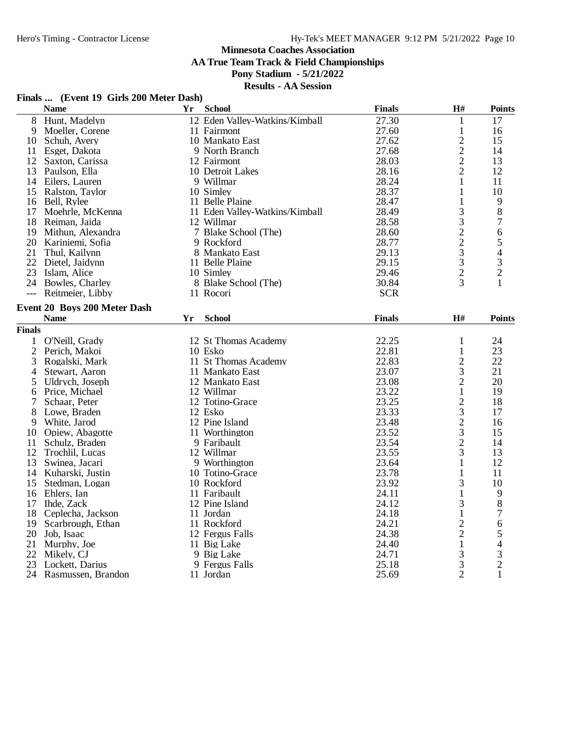**AA True Team Track & Field Championships**

### **Pony Stadium - 5/21/2022**

|  | Finals  (Event 19 Girls 200 Meter Dash) |
|--|-----------------------------------------|
|--|-----------------------------------------|

|                | <b>Name</b>                  | Yr | <b>School</b>                  | <b>Finals</b> | H#                  | <b>Points</b>            |
|----------------|------------------------------|----|--------------------------------|---------------|---------------------|--------------------------|
| 8              | Hunt, Madelyn                |    | 12 Eden Valley-Watkins/Kimball | 27.30         | $\mathbf{1}$        | 17                       |
|                | 9 Moeller, Corene            |    | 11 Fairmont                    | 27.60         | $\mathbf{1}$        | 16                       |
| 10             | Schuh, Avery                 |    | 10 Mankato East                | 27.62         | $\overline{c}$      | 15                       |
| 11             | Esget, Dakota                |    | 9 North Branch                 | 27.68         | $\overline{c}$      | 14                       |
| 12             | Saxton, Carissa              |    | 12 Fairmont                    | 28.03         | $\overline{c}$      | 13                       |
|                | 13 Paulson, Ella             |    | 10 Detroit Lakes               | 28.16         | $\overline{2}$      | 12                       |
| 14             | Eilers, Lauren               |    | 9 Willmar                      | 28.24         | 1                   | 11                       |
| 15             | Ralston, Taylor              |    | 10 Simley                      | 28.37         | $\mathbf{1}$        | 10                       |
| 16             | Bell, Rylee                  |    | 11 Belle Plaine                | 28.47         | $\mathbf{1}$        | 9                        |
| 17             | Moehrle, McKenna             |    | 11 Eden Valley-Watkins/Kimball | 28.49         | 3                   | $\,8\,$                  |
|                | 18 Reiman, Jaida             |    | 12 Willmar                     | 28.58         |                     | 7                        |
| 19             | Mithun, Alexandra            |    | 7 Blake School (The)           | 28.60         |                     | $\sqrt{6}$               |
| 20             | Kariniemi, Sofia             |    | 9 Rockford                     | 28.77         |                     | 5                        |
| 21             | Thul, Kailynn                |    | 8 Mankato East                 | 29.13         |                     | $\overline{4}$           |
| 22             | Dietel, Jaidynn              |    | 11 Belle Plaine                | 29.15         |                     |                          |
| 23             | Islam, Alice                 |    | 10 Simley                      | 29.46         | $32233$<br>$332$    | $\frac{3}{2}$            |
|                | 24 Bowles, Charley           |    | 8 Blake School (The)           | 30.84         | $\overline{3}$      | $\mathbf{1}$             |
| $---$          | Reitmeier, Libby             |    | 11 Rocori                      | <b>SCR</b>    |                     |                          |
|                | Event 20 Boys 200 Meter Dash |    |                                |               |                     |                          |
|                | <b>Name</b>                  | Yr | <b>School</b>                  | <b>Finals</b> | H#                  | <b>Points</b>            |
|                |                              |    |                                |               |                     |                          |
| <b>Finals</b>  |                              |    |                                |               |                     |                          |
| 1              | O'Neill, Grady               |    | 12 St Thomas Academy           | 22.25         | 1                   | 24                       |
| $\overline{2}$ | Perich, Makoi                |    | 10 Esko                        | 22.81         | $\mathbf{1}$        | 23                       |
| 3              | Rogalski, Mark               |    | 11 St Thomas Academy           | 22.83         | $\overline{c}$      | 22                       |
| 4              | Stewart, Aaron               |    | 11 Mankato East                | 23.07         | 3                   | 21                       |
| 5              | Uldrych, Joseph              |    | 12 Mankato East                | 23.08         | $\overline{2}$      | 20                       |
| 6              | Price, Michael               |    | 12 Willmar                     | 23.22         | $\mathbf{1}$        | 19                       |
| 7              | Schaar, Peter                |    | 12 Totino-Grace                | 23.25         | $\frac{2}{3}$       | 18                       |
| 8              | Lowe, Braden                 |    | 12 Esko                        | 23.33         |                     | 17                       |
| 9              | White, Jarod                 |    | 12 Pine Island                 | 23.48         | $\overline{c}$      | 16                       |
| 10             | Opiew, Abagotte              |    | 11 Worthington                 | 23.52         | $\frac{3}{2}$       | 15                       |
| 11             | Schulz, Braden               |    | 9 Faribault                    | 23.54         |                     | 14                       |
| 12             | Trochlil, Lucas              |    | 12 Willmar                     | 23.55         | 3                   | 13                       |
| 13             | Swinea, Jacari               |    | 9 Worthington                  | 23.64         | $\mathbf{1}$        | 12                       |
|                | 14 Kuharski, Justin          |    | 10 Totino-Grace                | 23.78         | $\mathbf{1}$        | 11                       |
| 15             | Stedman, Logan               |    | 10 Rockford                    | 23.92         | 3                   | 10                       |
| 16             | Ehlers, Ian                  |    | 11 Faribault                   | 24.11         | $\mathbf{1}$        | 9                        |
| 17             | Ihde, Zack                   |    | 12 Pine Island                 | 24.12         | 3                   | $8\,$                    |
| 18             | Ceplecha, Jackson            |    | 11 Jordan                      | 24.18         | $\mathbf{1}$        | 7                        |
| 19             | Scarbrough, Ethan            |    | 11 Rockford                    | 24.21         | $\overline{c}$      | 6                        |
| 20             | Job, Isaac                   |    | 12 Fergus Falls                | 24.38         | $\overline{c}$      | 5                        |
| 21             | Murphy, Joe                  |    | 11 Big Lake                    | 24.40         | $\mathbf{1}$        | $\overline{\mathcal{L}}$ |
| 22             | Mikely, CJ                   |    | 9 Big Lake                     | 24.71         | 3                   | $\frac{3}{2}$            |
| 23             | Lockett, Darius              |    | 9 Fergus Falls                 | 25.18         | 3<br>$\overline{2}$ |                          |
| 24             | Rasmussen, Brandon           |    | 11 Jordan                      | 25.69         |                     | $\mathbf{1}$             |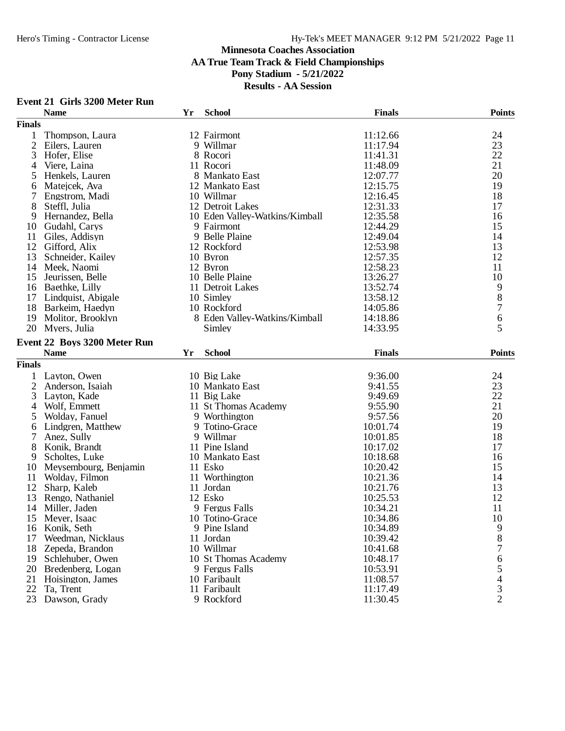| Event 21 Girls 3200 Meter Run |
|-------------------------------|
|-------------------------------|

|                | <b>Name</b>                  | Yr | <b>School</b>                  | <b>Finals</b> | <b>Points</b>                              |
|----------------|------------------------------|----|--------------------------------|---------------|--------------------------------------------|
| <b>Finals</b>  |                              |    |                                |               |                                            |
| 1              | Thompson, Laura              |    | 12 Fairmont                    | 11:12.66      | 24                                         |
| $\overline{2}$ | Eilers, Lauren               |    | 9 Willmar                      | 11:17.94      | 23                                         |
| 3              | Hofer, Elise                 |    | 8 Rocori                       | 11:41.31      | 22                                         |
| 4              | Viere, Laina                 |    | 11 Rocori                      | 11:48.09      | 21                                         |
| 5              | Henkels, Lauren              |    | 8 Mankato East                 | 12:07.77      | 20                                         |
| 6              | Matejcek, Ava                |    | 12 Mankato East                | 12:15.75      | 19                                         |
| 7              | Engstrom, Madi               |    | 10 Willmar                     | 12:16.45      | 18                                         |
| 8              | Steffl, Julia                |    | 12 Detroit Lakes               | 12:31.33      | 17                                         |
| 9              | Hernandez, Bella             |    | 10 Eden Valley-Watkins/Kimball | 12:35.58      | 16                                         |
| 10             | Gudahl, Carys                |    | 9 Fairmont                     | 12:44.29      | 15                                         |
| 11             | Giles, Addisyn               |    | 9 Belle Plaine                 | 12:49.04      | 14                                         |
| 12             | Gifford, Alix                |    | 12 Rockford                    | 12:53.98      | 13                                         |
| 13             | Schneider, Kailey            |    | 10 Byron                       | 12:57.35      | 12                                         |
| 14             | Meek, Naomi                  |    | 12 Byron                       | 12:58.23      | 11                                         |
| 15             | Jeurissen, Belle             |    | 10 Belle Plaine                | 13:26.27      | 10                                         |
| 16             | Baethke, Lilly               |    | 11 Detroit Lakes               | 13:52.74      | 9                                          |
| 17             | Lindquist, Abigale           |    | 10 Simley                      | 13:58.12      | 8                                          |
| 18             | Barkeim, Haedyn              |    | 10 Rockford                    | 14:05.86      | $\overline{7}$                             |
| 19             | Molitor, Brooklyn            |    | 8 Eden Valley-Watkins/Kimball  | 14:18.86      | 6                                          |
| 20             | Myers, Julia                 |    | Simley                         | 14:33.95      | 5                                          |
|                |                              |    |                                |               |                                            |
|                | Event 22 Boys 3200 Meter Run |    |                                |               |                                            |
|                | <b>Name</b>                  | Yr | <b>School</b>                  | <b>Finals</b> | <b>Points</b>                              |
| <b>Finals</b>  |                              |    |                                |               |                                            |
|                | Layton, Owen                 |    | 10 Big Lake                    | 9:36.00       | 24                                         |
| $\mathbf{2}$   | Anderson, Isaiah             |    | 10 Mankato East                | 9:41.55       | 23                                         |
| 3              | Layton, Kade                 |    | 11 Big Lake                    | 9:49.69       | 22                                         |
| 4              | Wolf, Emmett                 |    | 11 St Thomas Academy           | 9:55.90       | 21                                         |
| 5              | Wolday, Fanuel               |    | 9 Worthington                  | 9:57.56       | 20                                         |
| 6              | Lindgren, Matthew            |    | 9 Totino-Grace                 | 10:01.74      | 19                                         |
| 7              | Anez, Sully                  |    | 9 Willmar                      | 10:01.85      | 18                                         |
| 8              | Konik, Brandt                |    | 11 Pine Island                 | 10:17.02      | 17                                         |
| 9              | Scholtes, Luke               |    | 10 Mankato East                | 10:18.68      | 16                                         |
| 10             | Meysembourg, Benjamin        |    | 11 Esko                        | 10:20.42      | 15                                         |
| 11             | Wolday, Filmon               |    | 11 Worthington                 | 10:21.36      | 14                                         |
| 12             | Sharp, Kaleb                 |    | 11 Jordan                      | 10:21.76      | 13                                         |
| 13             | Rengo, Nathaniel             |    | 12 Esko                        | 10:25.53      | 12                                         |
| 14             | Miller, Jaden                |    | 9 Fergus Falls                 | 10:34.21      | 11                                         |
| 15             | Meyer, Isaac                 |    | 10 Totino-Grace                | 10:34.86      | 10                                         |
| 16             | Konik, Seth                  |    | 9 Pine Island                  | 10:34.89      | 9                                          |
| 17             | Weedman, Nicklaus            |    | 11 Jordan                      | 10:39.42      | 8                                          |
| 18             | Zepeda, Brandon              |    | 10 Willmar                     | 10:41.68      | 7                                          |
| 19             | Schlehuber, Owen             |    | 10 St Thomas Academy           | 10:48.17      | 6                                          |
| 20             | Bredenberg, Logan            |    | 9 Fergus Falls                 | 10:53.91      | 5                                          |
| 21             | Hoisington, James            |    | 10 Faribault                   | 11:08.57      |                                            |
| 22             | Ta, Trent                    |    | 11 Faribault                   | 11:17.49      | $\begin{array}{c} 4 \\ 3 \\ 2 \end{array}$ |
| 23             | Dawson, Grady                |    | 9 Rockford                     | 11:30.45      |                                            |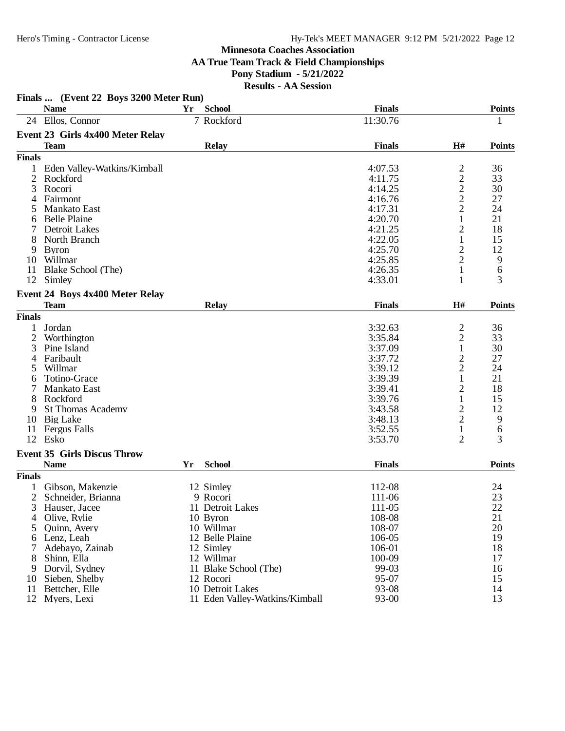**AA True Team Track & Field Championships**

# **Pony Stadium - 5/21/2022**

|                | Finals  (Event 22 Boys 3200 Meter Run) |    |                                |               |                         |               |
|----------------|----------------------------------------|----|--------------------------------|---------------|-------------------------|---------------|
|                | <b>Name</b>                            | Yr | <b>School</b>                  | <b>Finals</b> |                         | <b>Points</b> |
|                | 24 Ellos, Connor                       |    | 7 Rockford                     | 11:30.76      |                         | 1             |
|                | Event 23 Girls 4x400 Meter Relay       |    |                                |               |                         |               |
|                | <b>Team</b>                            |    | <b>Relay</b>                   | <b>Finals</b> | H#                      | <b>Points</b> |
| <b>Finals</b>  |                                        |    |                                |               |                         |               |
|                | Eden Valley-Watkins/Kimball            |    |                                | 4:07.53       | 2                       | 36            |
| 2              | Rockford                               |    |                                | 4:11.75       | $\overline{c}$          | 33            |
| 3              | Rocori                                 |    |                                | 4:14.25       |                         | 30            |
|                | Fairmont                               |    |                                | 4:16.76       | $\frac{2}{2}$           | 27            |
|                | <b>Mankato East</b>                    |    |                                | 4:17.31       | $\overline{c}$          | 24            |
| 6              | <b>Belle Plaine</b>                    |    |                                | 4:20.70       | $\mathbf{1}$            | 21            |
|                | Detroit Lakes                          |    |                                | 4:21.25       | $\overline{c}$          | 18            |
|                | North Branch                           |    |                                | 4:22.05       | $\mathbf{1}$            | 15            |
| 9              | <b>Byron</b>                           |    |                                | 4:25.70       | $\overline{c}$          | 12            |
| 10             | Willmar                                |    |                                | 4:25.85       | $\overline{c}$          | 9             |
| 11             | Blake School (The)                     |    |                                | 4:26.35       | 1                       | 6             |
| 12             | Simley                                 |    |                                | 4:33.01       | 1                       | 3             |
|                | <b>Event 24 Boys 4x400 Meter Relay</b> |    |                                |               |                         |               |
|                | <b>Team</b>                            |    | <b>Relay</b>                   | <b>Finals</b> | H#                      | <b>Points</b> |
| <b>Finals</b>  |                                        |    |                                |               |                         |               |
|                | Jordan                                 |    |                                | 3:32.63       | $\overline{\mathbf{c}}$ | 36            |
| 2              | Worthington                            |    |                                | 3:35.84       | $\overline{c}$          | 33            |
| 3              | Pine Island                            |    |                                | 3:37.09       | $\mathbf{1}$            | 30            |
|                | Faribault                              |    |                                | 3:37.72       | $\overline{c}$          | 27            |
| 5              | Willmar                                |    |                                | 3:39.12       | $\overline{c}$          | 24            |
| 6              | Totino-Grace                           |    |                                | 3:39.39       | $\mathbf{1}$            | 21            |
|                | Mankato East                           |    |                                | 3:39.41       | $\overline{c}$          | 18            |
| 8              | Rockford                               |    |                                | 3:39.76       | $\mathbf{1}$            | 15            |
| 9              | St Thomas Academy                      |    |                                | 3:43.58       | $\overline{c}$          | 12            |
| 10             | <b>Big Lake</b>                        |    |                                | 3:48.13       | $\overline{c}$          | 9             |
| 11             | <b>Fergus Falls</b>                    |    |                                | 3:52.55       | $\mathbf{1}$            | 6             |
| 12             | Esko                                   |    |                                | 3:53.70       | $\overline{2}$          | 3             |
|                | <b>Event 35 Girls Discus Throw</b>     |    |                                |               |                         |               |
|                | <b>Name</b>                            | Yr | <b>School</b>                  | <b>Finals</b> |                         | <b>Points</b> |
| <b>Finals</b>  |                                        |    |                                |               |                         |               |
|                | Gibson, Makenzie                       |    | 12 Simley                      | 112-08        |                         | 24            |
| $\overline{2}$ | Schneider, Brianna                     |    | 9 Rocori                       | 111-06        |                         | 23            |
| C              | Hauser, Jacee                          |    | 11 Detroit Lakes               | 111-05        |                         | 22            |
| 4              | Olive, Rylie                           |    | 10 Byron                       | 108-08        |                         | 21            |
| 5              | Quinn, Avery                           |    | 10 Willmar                     | 108-07        |                         | 20            |
| 6              | Lenz, Leah                             |    | 12 Belle Plaine                | 106-05        |                         | 19            |
| 7              | Adebayo, Zainab                        |    | 12 Simley                      | 106-01        |                         | 18            |
| 8              | Shinn, Ella                            |    | 12 Willmar                     | 100-09        |                         | 17            |
| 9              | Dorvil, Sydney                         |    | 11 Blake School (The)          | 99-03         |                         | 16            |
| 10             | Sieben, Shelby                         |    | 12 Rocori                      | 95-07         |                         | 15            |
| 11             | Bettcher, Elle                         |    | 10 Detroit Lakes               | 93-08         |                         | 14            |
|                | 12 Myers, Lexi                         |    | 11 Eden Valley-Watkins/Kimball | 93-00         |                         | 13            |
|                |                                        |    |                                |               |                         |               |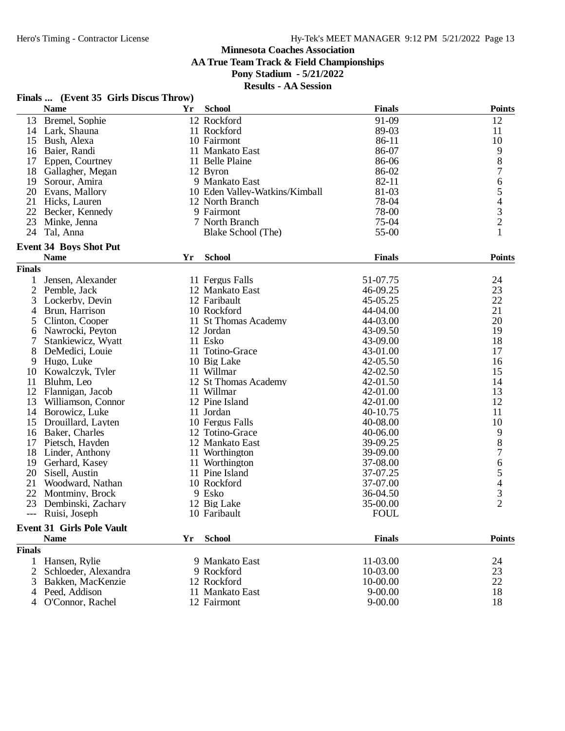**AA True Team Track & Field Championships**

**Pony Stadium - 5/21/2022**

|  |  | Finals  (Event 35 Girls Discus Throw) |  |
|--|--|---------------------------------------|--|
|--|--|---------------------------------------|--|

|                | <b>Name</b>                      | Yr | <b>School</b>                  | <b>Finals</b>        | <b>Points</b>                              |
|----------------|----------------------------------|----|--------------------------------|----------------------|--------------------------------------------|
| 13             | Bremel, Sophie                   |    | 12 Rockford                    | 91-09                | 12                                         |
| 14             | Lark, Shauna                     |    | 11 Rockford                    | 89-03                | 11                                         |
| 15             | Bush, Alexa                      |    | 10 Fairmont                    | 86-11                | 10                                         |
| 16             | Baier, Randi                     |    | 11 Mankato East                | 86-07                | 9                                          |
| 17             | Eppen, Courtney                  |    | 11 Belle Plaine                | 86-06                | 8                                          |
| 18             | Gallagher, Megan                 |    | 12 Byron                       | 86-02                | 7                                          |
| 19             | Sorour, Amira                    |    | 9 Mankato East                 | $82 - 11$            | 6                                          |
|                | 20 Evans, Mallory                |    | 10 Eden Valley-Watkins/Kimball | 81-03                | 5                                          |
| 21             | Hicks, Lauren                    |    | 12 North Branch                | 78-04                |                                            |
| 22             | Becker, Kennedy                  |    | 9 Fairmont                     | 78-00                | $\begin{array}{c} 4 \\ 3 \\ 2 \end{array}$ |
| 23             | Minke, Jenna                     |    | 7 North Branch                 | 75-04                |                                            |
| 24             | Tal, Anna                        |    | Blake School (The)             | 55-00                | $\mathbf{1}$                               |
|                | <b>Event 34 Boys Shot Put</b>    |    |                                |                      |                                            |
|                | <b>Name</b>                      | Yr | <b>School</b>                  | <b>Finals</b>        | <b>Points</b>                              |
| <b>Finals</b>  |                                  |    |                                |                      |                                            |
| 1              | Jensen, Alexander                |    | 11 Fergus Falls                | 51-07.75             | 24                                         |
| $\overline{2}$ | Pemble, Jack                     |    | 12 Mankato East                | 46-09.25             | 23                                         |
| 3              | Lockerby, Devin                  |    | 12 Faribault                   | 45-05.25             | 22                                         |
| 4              | Brun, Harrison                   |    | 10 Rockford                    | 44-04.00             | 21                                         |
| 5              | Clinton, Cooper                  |    | 11 St Thomas Academy           | 44-03.00             | 20                                         |
| 6              | Nawrocki, Peyton                 |    | 12 Jordan                      | 43-09.50             | 19                                         |
| 7              | Stankiewicz, Wyatt               |    | 11 Esko                        | 43-09.00             | 18                                         |
| 8              | DeMedici, Louie                  |    | 11 Totino-Grace                | 43-01.00             | 17                                         |
| 9              | Hugo, Luke                       |    | 10 Big Lake                    | 42-05.50             | 16                                         |
| 10             | Kowalczyk, Tyler                 |    | 11 Willmar                     | 42-02.50             | 15                                         |
| 11             | Bluhm, Leo                       |    | 12 St Thomas Academy           | 42-01.50             | 14                                         |
| 12             | Flannigan, Jacob                 |    | 11 Willmar                     | 42-01.00             | 13                                         |
| 13             |                                  |    | 12 Pine Island                 |                      | 12                                         |
| 14             | Williamson, Connor               |    | 11 Jordan                      | 42-01.00<br>40-10.75 | 11                                         |
|                | Borowicz, Luke                   |    |                                |                      | 10                                         |
| 15             | Drouillard, Layten               |    | 10 Fergus Falls                | 40-08.00             |                                            |
| 16             | Baker, Charles                   |    | 12 Totino-Grace                | 40-06.00             | 9                                          |
| 17             | Pietsch, Hayden                  |    | 12 Mankato East                | 39-09.25             | 8                                          |
| 18             | Linder, Anthony                  |    | 11 Worthington                 | 39-09.00             | $\overline{7}$                             |
| 19             | Gerhard, Kasey                   |    | 11 Worthington                 | 37-08.00             |                                            |
| 20             | Sisell, Austin                   |    | 11 Pine Island                 | 37-07.25             | $\begin{array}{c} 6 \\ 5 \\ 4 \end{array}$ |
| 21             | Woodward, Nathan                 |    | 10 Rockford                    | 37-07.00             |                                            |
| 22             | Montminy, Brock                  |    | 9 Esko                         | 36-04.50             | $\frac{3}{2}$                              |
| 23             | Dembinski, Zachary               |    | 12 Big Lake                    | 35-00.00             |                                            |
| ---            | Ruisi, Joseph                    |    | 10 Faribault                   | <b>FOUL</b>          |                                            |
|                | <b>Event 31 Girls Pole Vault</b> |    |                                |                      |                                            |
|                | <b>Name</b>                      | Yr | <b>School</b>                  | <b>Finals</b>        | <b>Points</b>                              |
| <b>Finals</b>  |                                  |    |                                |                      |                                            |
| 1              | Hansen, Rylie                    |    | 9 Mankato East                 | 11-03.00             | 24                                         |
| 2              | Schloeder, Alexandra             |    | 9 Rockford                     | 10-03.00             | 23                                         |
|                | Bakken, MacKenzie                |    | 12 Rockford                    | 10-00.00             | 22                                         |
|                | Peed, Addison                    |    | 11 Mankato East                | $9 - 00.00$          | 18                                         |
| 4              | O'Connor, Rachel                 |    | 12 Fairmont                    | $9 - 00.00$          | 18                                         |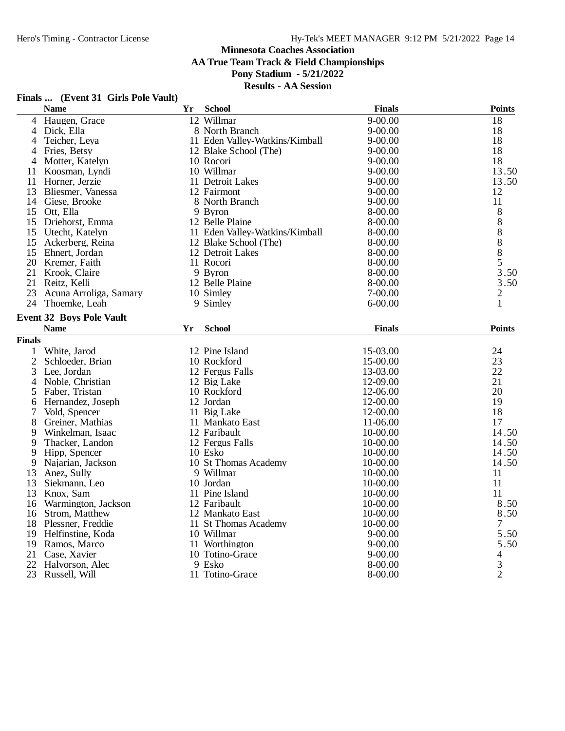**AA True Team Track & Field Championships**

### **Pony Stadium - 5/21/2022**

| Finals | (Event 31 Girls Pole Vault) |  |  |
|--------|-----------------------------|--|--|
|--------|-----------------------------|--|--|

|               | <b>Name</b>                     | Yr | <b>School</b>                  | <b>Finals</b> | <b>Points</b>                                   |
|---------------|---------------------------------|----|--------------------------------|---------------|-------------------------------------------------|
| 4             | Haugen, Grace                   |    | 12 Willmar                     | $9 - 00.00$   | 18                                              |
| 4             | Dick, Ella                      |    | 8 North Branch                 | $9 - 00.00$   | 18                                              |
| 4             | Teicher, Leya                   |    | 11 Eden Valley-Watkins/Kimball | $9 - 00.00$   | 18                                              |
| 4             | Fries, Betsy                    |    | 12 Blake School (The)          | $9 - 00.00$   | 18                                              |
| 4             | Motter, Katelyn                 |    | 10 Rocori                      | $9 - 00.00$   | 18                                              |
| 11            | Koosman, Lyndi                  |    | 10 Willmar                     | $9 - 00.00$   | 13.50                                           |
| 11            | Horner, Jerzie                  |    | 11 Detroit Lakes               | $9 - 00.00$   | 13.50                                           |
| 13            | Bliesmer, Vanessa               |    | 12 Fairmont                    | $9 - 00.00$   | 12                                              |
| 14            | Giese, Brooke                   |    | 8 North Branch                 | $9 - 00.00$   | 11                                              |
|               | 15 Ott, Ella                    |    | 9 Byron                        | 8-00.00       | 8                                               |
|               | 15 Driehorst, Emma              |    | 12 Belle Plaine                | 8-00.00       | $\begin{array}{l} 8 \\ 8 \\ 8 \\ 8 \end{array}$ |
| 15            | Utecht, Katelyn                 |    | 11 Eden Valley-Watkins/Kimball | 8-00.00       |                                                 |
| 15            | Ackerberg, Reina                |    | 12 Blake School (The)          | 8-00.00       |                                                 |
| 15            | Ehnert, Jordan                  |    | 12 Detroit Lakes               | 8-00.00       |                                                 |
|               | 20 Kremer, Faith                |    | 11 Rocori                      | 8-00.00       | 5                                               |
| 21            | Krook, Claire                   |    | 9 Byron                        | 8-00.00       | 3.50                                            |
| 21            | Reitz, Kelli                    |    | 12 Belle Plaine                | 8-00.00       | 3.50                                            |
| 23            | Acuna Arroliga, Samary          |    | 10 Simley                      | 7-00.00       | $\overline{c}$                                  |
| 24            | Thoemke, Leah                   |    | 9 Simley                       | $6 - 00.00$   | $\mathbf{1}$                                    |
|               | <b>Event 32 Boys Pole Vault</b> |    |                                |               |                                                 |
|               | <b>Name</b>                     | Yr | <b>School</b>                  | <b>Finals</b> | <b>Points</b>                                   |
| <b>Finals</b> |                                 |    |                                |               |                                                 |
| $\mathbf{1}$  | White, Jarod                    |    | 12 Pine Island                 | 15-03.00      | 24                                              |
| $\mathbf{2}$  | Schloeder, Brian                |    | 10 Rockford                    | 15-00.00      | 23                                              |
| 3             | Lee, Jordan                     |    | 12 Fergus Falls                | 13-03.00      | 22                                              |
| 4             | Noble, Christian                |    | 12 Big Lake                    | 12-09.00      | 21                                              |
| 5             | Faber, Tristan                  |    | 10 Rockford                    | 12-06.00      | 20                                              |
| 6             | Hernandez, Joseph               |    | 12 Jordan                      | 12-00.00      | 19                                              |
| 7             | Vold, Spencer                   |    | 11 Big Lake                    | 12-00.00      | 18                                              |
| 8             | Greiner, Mathias                |    | 11 Mankato East                | 11-06.00      | 17                                              |
| 9             | Winkelman, Isaac                |    | 12 Faribault                   | 10-00.00      | 14.50                                           |
| 9             | Thacker, Landon                 |    | 12 Fergus Falls                | 10-00.00      | 14.50                                           |
| 9             | Hipp, Spencer                   |    | 10 Esko                        | 10-00.00      | 14.50                                           |
| 9             | Najarian, Jackson               |    | 10 St Thomas Academy           | 10-00.00      | 14.50                                           |
| 13            | Anez, Sully                     |    | 9 Willmar                      | 10-00.00      | 11                                              |
| 13            | Siekmann, Leo                   |    | 10 Jordan                      | 10-00.00      | 11                                              |
| 13            | Knox, Sam                       |    | 11 Pine Island                 | 10-00.00      | 11                                              |
| 16            | Warmington, Jackson             |    | 12 Faribault                   | 10-00.00      | 8.50                                            |
| 16            | Strom, Matthew                  |    | 12 Mankato East                | 10-00.00      | 8.50                                            |
| 18            | Plessner, Freddie               |    | 11 St Thomas Academy           | 10-00.00      | 7                                               |
| 19            | Helfinstine, Koda               |    | 10 Willmar                     | $9 - 00.00$   | 5.50                                            |
| 19            | Ramos, Marco                    |    | 11 Worthington                 | $9 - 00.00$   | 5.50                                            |
| 21            | Case, Xavier                    |    | 10 Totino-Grace                | $9 - 00.00$   | 4                                               |
| 22            | Halvorson, Alec                 |    | 9 Esko                         | 8-00.00       | 3                                               |
| 23            | Russell, Will                   |    | 11 Totino-Grace                | 8-00.00       | $\overline{2}$                                  |
|               |                                 |    |                                |               |                                                 |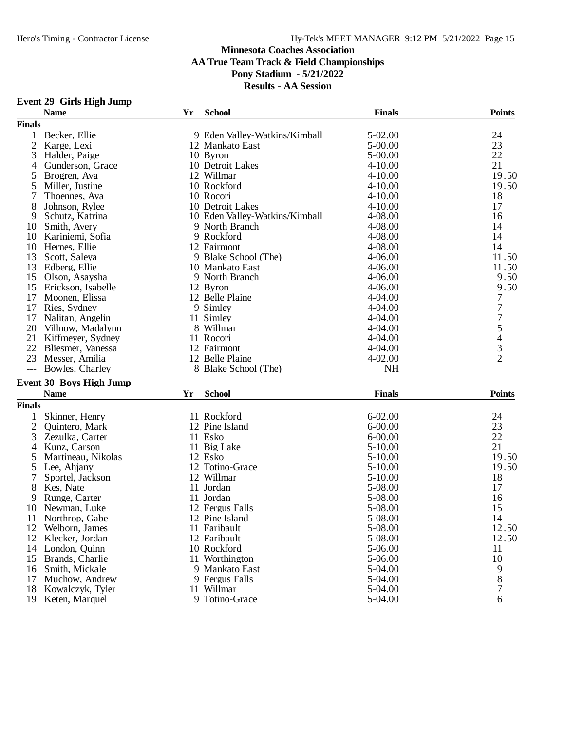**Results - AA Session**

# **Event 29 Girls High Jump**

|                | <b>Name</b>                    | Yr | <b>School</b>                  | <b>Finals</b> | <b>Points</b>                                   |
|----------------|--------------------------------|----|--------------------------------|---------------|-------------------------------------------------|
| <b>Finals</b>  |                                |    |                                |               |                                                 |
| 1              | Becker, Ellie                  |    | 9 Eden Valley-Watkins/Kimball  | 5-02.00       | 24                                              |
| $\overline{2}$ | Karge, Lexi                    |    | 12 Mankato East                | $5 - 00.00$   | 23                                              |
| 3              | Halder, Paige                  |    | 10 Byron                       | $5 - 00.00$   | 22                                              |
| 4              | Gunderson, Grace               |    | 10 Detroit Lakes               | $4 - 10.00$   | 21                                              |
| 5              | Brogren, Ava                   |    | 12 Willmar                     | $4 - 10.00$   | 19.50                                           |
| 5              | Miller, Justine                |    | 10 Rockford                    | $4 - 10.00$   | 19.50                                           |
| 7              | Thoennes, Ava                  |    | 10 Rocori                      | $4 - 10.00$   | 18                                              |
| 8              | Johnson, Rylee                 |    | 10 Detroit Lakes               | $4 - 10.00$   | 17                                              |
| 9              | Schutz, Katrina                |    | 10 Eden Valley-Watkins/Kimball | 4-08.00       | 16                                              |
| 10             | Smith, Avery                   |    | 9 North Branch                 | 4-08.00       | 14                                              |
| 10             | Kariniemi, Sofia               |    | 9 Rockford                     | 4-08.00       | 14                                              |
| 10             | Hernes, Ellie                  |    | 12 Fairmont                    | 4-08.00       | 14                                              |
| 13             | Scott, Saleya                  |    | 9 Blake School (The)           | $4 - 06.00$   | 11.50                                           |
| 13             |                                |    | 10 Mankato East                | $4 - 06.00$   | 11.50                                           |
|                | Edberg, Ellie                  |    |                                |               |                                                 |
| 15             | Olson, Asaysha                 |    | 9 North Branch                 | $4 - 06.00$   | 9.50                                            |
| 15             | Erickson, Isabelle             |    | 12 Byron                       | $4 - 06.00$   | 9.50                                            |
| 17             | Moonen, Elissa                 |    | 12 Belle Plaine                | $4 - 04.00$   | $\sqrt{ }$                                      |
| 17             | Ries, Sydney                   |    | 9 Simley                       | 4-04.00       | $\overline{7}$                                  |
| 17             | Nalitan, Angelin               |    | 11 Simley                      | 4-04.00       |                                                 |
| 20             | Villnow, Madalynn              |    | 8 Willmar                      | 4-04.00       | $\begin{array}{c} 7 \\ 5 \\ 4 \\ 3 \end{array}$ |
| 21             | Kiffmeyer, Sydney              |    | 11 Rocori                      | 4-04.00       |                                                 |
| 22             | Bliesmer, Vanessa              |    | 12 Fairmont                    | 4-04.00       |                                                 |
| 23             | Messer, Amilia                 |    | 12 Belle Plaine                | $4 - 02.00$   | $\overline{2}$                                  |
| $---$          | Bowles, Charley                |    | 8 Blake School (The)           | <b>NH</b>     |                                                 |
|                | <b>Event 30 Boys High Jump</b> |    |                                |               |                                                 |
|                | <b>Name</b>                    | Yr | <b>School</b>                  | <b>Finals</b> | <b>Points</b>                                   |
| <b>Finals</b>  |                                |    |                                |               |                                                 |
| 1              | Skinner, Henry                 |    | 11 Rockford                    | $6 - 02.00$   | 24                                              |
| $\overline{2}$ | Quintero, Mark                 |    | 12 Pine Island                 | $6 - 00.00$   | 23                                              |
| 3              | Zezulka, Carter                |    | 11 Esko                        | $6 - 00.00$   | 22                                              |
| 4              | Kunz, Carson                   |    | 11 Big Lake                    | 5-10.00       | 21                                              |
| 5              | Martineau, Nikolas             |    | 12 Esko                        | $5 - 10.00$   | 19.50                                           |
|                | Lee, Ahjany                    |    |                                | 5-10.00       |                                                 |
| 5<br>7         |                                |    | 12 Totino-Grace<br>12 Willmar  |               | 19.50<br>18                                     |
|                | Sportel, Jackson               |    | 11 Jordan                      | 5-10.00       | 17                                              |
| 8              | Kes, Nate                      |    |                                | 5-08.00       |                                                 |
| 9              | Runge, Carter                  |    | 11 Jordan                      | 5-08.00       | 16                                              |
| 10             | Newman, Luke                   |    | 12 Fergus Falls                | 5-08.00       | 15                                              |
| 11             | Northrop, Gabe                 |    | 12 Pine Island                 | 5-08.00       | 14                                              |
| 12             | Welborn, James                 |    | 11 Faribault                   | 5-08.00       | 12.50                                           |
| 12             | Klecker, Jordan                |    | 12 Faribault                   | 5-08.00       | 12.50                                           |
| 14             | London, Quinn                  |    | 10 Rockford                    | 5-06.00       | 11                                              |
| 15             | Brands, Charlie                |    | 11 Worthington                 | 5-06.00       | 10                                              |
| 16             | Smith, Mickale                 |    | 9 Mankato East                 | 5-04.00       | 9                                               |
| 17             | Muchow, Andrew                 |    | 9 Fergus Falls                 | 5-04.00       | $\,8$                                           |
| 18             | Kowalczyk, Tyler               |    | 11 Willmar                     | 5-04.00       | $\overline{7}$                                  |
| 19             | Keten, Marquel                 |    | 9 Totino-Grace                 | 5-04.00       | 6                                               |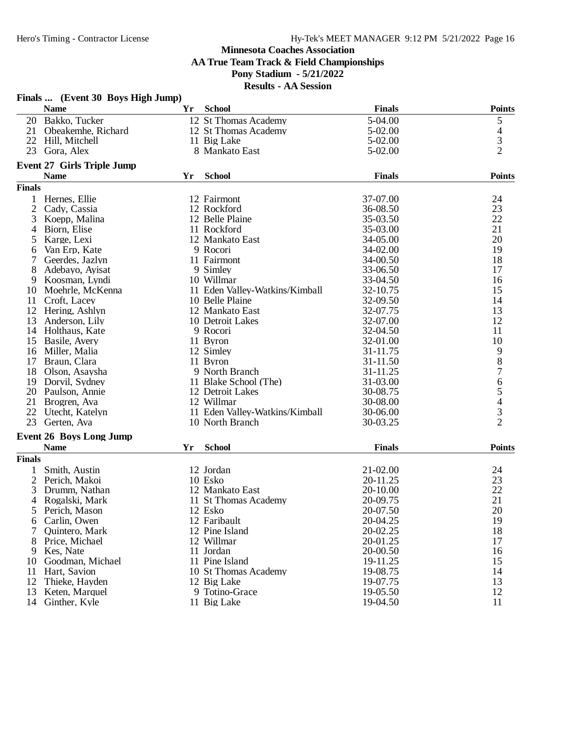|                | Finals  (Event 30 Boys High Jump) |    |                                |               |                                            |
|----------------|-----------------------------------|----|--------------------------------|---------------|--------------------------------------------|
|                | <b>Name</b>                       | Yr | <b>School</b>                  | <b>Finals</b> | <b>Points</b>                              |
| 20             | Bakko, Tucker                     |    | 12 St Thomas Academy           | 5-04.00       | 5                                          |
| 21             | Obeakemhe, Richard                |    | 12 St Thomas Academy           | 5-02.00       |                                            |
| 22             | Hill, Mitchell                    |    | 11 Big Lake                    | 5-02.00       | $rac{4}{3}$                                |
| 23             | Gora, Alex                        |    | 8 Mankato East                 | 5-02.00       | $\overline{2}$                             |
|                | <b>Event 27 Girls Triple Jump</b> |    |                                |               |                                            |
|                | <b>Name</b>                       | Yr | <b>School</b>                  | <b>Finals</b> | <b>Points</b>                              |
| <b>Finals</b>  |                                   |    |                                |               |                                            |
| $\mathbf{1}$   | Hernes, Ellie                     |    | 12 Fairmont                    | 37-07.00      | 24                                         |
| 2              | Cady, Cassia                      |    | 12 Rockford                    | 36-08.50      | 23                                         |
| 3              | Koepp, Malina                     |    | 12 Belle Plaine                | 35-03.50      | 22                                         |
| 4              | Biorn, Elise                      |    | 11 Rockford                    | 35-03.00      | 21                                         |
| 5              | Karge, Lexi                       |    | 12 Mankato East                | 34-05.00      | 20                                         |
|                | Van Erp, Kate                     |    | 9 Rocori                       | 34-02.00      | 19                                         |
| 6              | Geerdes, Jazlyn                   |    | 11 Fairmont                    | 34-00.50      | 18                                         |
| 8              | Adebayo, Ayisat                   |    | 9 Simley                       | 33-06.50      | 17                                         |
| 9              | Koosman, Lyndi                    |    | 10 Willmar                     | 33-04.50      | 16                                         |
| 10             | Moehrle, McKenna                  |    | 11 Eden Valley-Watkins/Kimball | 32-10.75      | 15                                         |
| 11             | Croft, Lacey                      |    | 10 Belle Plaine                | 32-09.50      | 14                                         |
| 12             | Hering, Ashlyn                    |    | 12 Mankato East                | 32-07.75      | 13                                         |
| 13             | Anderson, Lily                    |    | 10 Detroit Lakes               | 32-07.00      | 12                                         |
| 14             | Holthaus, Kate                    |    | 9 Rocori                       | 32-04.50      | 11                                         |
| 15             | Basile, Avery                     |    | 11 Byron                       | 32-01.00      | 10                                         |
| 16             | Miller, Malia                     |    | 12 Simley                      | 31-11.75      |                                            |
| 17             | Braun, Clara                      |    | 11 Byron                       | 31-11.50      | $\begin{array}{c} 9 \\ 8 \\ 7 \end{array}$ |
| 18             | Olson, Asaysha                    |    | 9 North Branch                 | 31-11.25      |                                            |
| 19             | Dorvil, Sydney                    |    | 11 Blake School (The)          | 31-03.00      |                                            |
| 20             | Paulson, Annie                    |    | 12 Detroit Lakes               | 30-08.75      |                                            |
| 21             | Brogren, Ava                      |    | 12 Willmar                     | 30-08.00      |                                            |
| 22             | Utecht, Katelyn                   |    | 11 Eden Valley-Watkins/Kimball | 30-06.00      | 6<br>5<br>4<br>3                           |
| 23             | Gerten, Ava                       |    | 10 North Branch                | 30-03.25      | $\overline{2}$                             |
|                |                                   |    |                                |               |                                            |
|                | <b>Event 26 Boys Long Jump</b>    |    |                                |               |                                            |
|                | <b>Name</b>                       | Yr | <b>School</b>                  | <b>Finals</b> | <b>Points</b>                              |
| <b>Finals</b>  |                                   |    |                                |               |                                            |
| 1              | Smith, Austin                     |    | 12 Jordan                      | 21-02.00      | 24                                         |
| $\overline{2}$ | Perich, Makoi                     |    | 10 Esko                        | 20-11.25      | 23                                         |
| 3              | Drumm, Nathan                     |    | 12 Mankato East                | 20-10.00      | 22                                         |
| 4              | Rogalski, Mark                    |    | 11 St Thomas Academy           | 20-09.75      | 21                                         |
| 5              | Perich, Mason                     |    | 12 Esko                        | 20-07.50      | 20                                         |
| 6              | Carlin, Owen                      |    | 12 Faribault                   | 20-04.25      | 19                                         |
| 7              | Quintero, Mark                    |    | 12 Pine Island                 | 20-02.25      | 18                                         |
| 8              | Price, Michael                    |    | 12 Willmar                     | 20-01.25      | 17                                         |
| 9              | Kes, Nate                         |    | 11 Jordan                      | 20-00.50      | 16                                         |
| 10             | Goodman, Michael                  |    | 11 Pine Island                 | 19-11.25      | 15                                         |
| 11             | Hart, Savion                      |    | 10 St Thomas Academy           | 19-08.75      | 14                                         |
| 12             | Thieke, Hayden                    |    | 12 Big Lake                    | 19-07.75      | 13                                         |
| 13             | Keten, Marquel                    |    | 9 Totino-Grace                 | 19-05.50      | 12                                         |
| 14             | Ginther, Kyle                     |    | 11 Big Lake                    | 19-04.50      | 11                                         |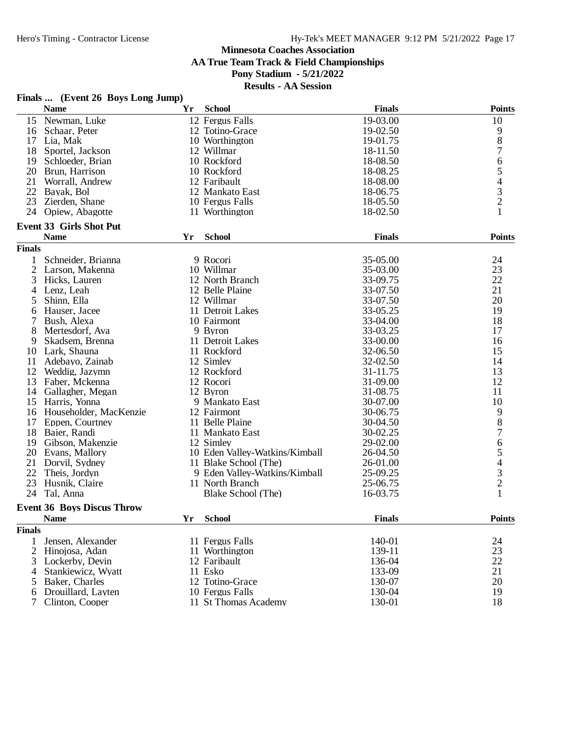#### **Minnesota Coaches Association AA True Team Track & Field Championships**

#### **Pony Stadium - 5/21/2022**

| Finals | (Event 26 Boys Long Jump) |  |  |  |
|--------|---------------------------|--|--|--|
|--------|---------------------------|--|--|--|

| 12 Fergus Falls<br>19-03.00<br>10<br>Newman, Luke<br>15<br>9<br>12 Totino-Grace<br>19-02.50<br>16<br>Schaar, Peter<br>8<br>19-01.75<br>17<br>Lia, Mak<br>10 Worthington<br>$\sqrt{ }$<br>18<br>12 Willmar<br>18-11.50<br>Sportel, Jackson<br>6<br>10 Rockford<br>18-08.50<br>19<br>Schloeder, Brian<br>5<br>20<br>18-08.25<br>Brun, Harrison<br>10 Rockford<br>$\overline{\mathcal{A}}$<br>21<br>12 Faribault<br>Worrall, Andrew<br>18-08.00<br>3<br>22<br>12 Mankato East<br>18-06.75<br>Bayak, Bol<br>$\overline{c}$<br>23<br>18-05.50<br>Zierden, Shane<br>10 Fergus Falls<br>24<br>18-02.50<br>1<br>Opiew, Abagotte<br>11 Worthington<br><b>Event 33 Girls Shot Put</b><br><b>School</b><br><b>Finals</b><br><b>Name</b><br>Yr<br><b>Finals</b><br>9 Rocori<br>35-05.00<br>1<br>Schneider, Brianna<br>24<br>$\overline{c}$<br>23<br>10 Willmar<br>Larson, Makenna<br>35-03.00<br>22<br>3<br>12 North Branch<br>33-09.75<br>Hicks, Lauren<br>21<br>33-07.50<br>4<br>Lenz, Leah<br>12 Belle Plaine<br>20<br>5<br>12 Willmar<br>33-07.50<br>Shinn, Ella<br>19<br>11 Detroit Lakes<br>33-05.25<br>Hauser, Jacee<br>6<br>7<br>18<br>Bush, Alexa<br>10 Fairmont<br>33-04.00<br>8<br>9 Byron<br>33-03.25<br>17<br>Mertesdorf, Ava<br>11 Detroit Lakes<br>33-00.00<br>16<br>9<br>Skadsem, Brenna<br>32-06.50<br>15<br>10<br>Lark, Shauna<br>11 Rockford<br>12 Simley<br>32-02.50<br>14<br>11<br>Adebayo, Zainab<br>12<br>31-11.75<br>13<br>Weddig, Jazymn<br>12 Rockford<br>12<br>13<br>Faber, Mckenna<br>12 Rocori<br>31-09.00<br>12 Byron<br>11<br>14<br>Gallagher, Megan<br>31-08.75<br>10<br>15<br>Harris, Yonna<br>9 Mankato East<br>30-07.00<br>9<br>Householder, MacKenzie<br>12 Fairmont<br>30-06.75<br>16<br>8<br>17<br>Eppen, Courtney<br>11 Belle Plaine<br>30-04.50<br>7<br>18<br>Baier, Randi<br>11 Mankato East<br>30-02.25<br>6<br>19<br>Gibson, Makenzie<br>12 Simley<br>29-02.00<br>5<br>20<br>10 Eden Valley-Watkins/Kimball<br>26-04.50<br>Evans, Mallory<br>$rac{4}{3}$<br>21<br>Dorvil, Sydney<br>11 Blake School (The)<br>26-01.00<br>22<br>Theis, Jordyn<br>9 Eden Valley-Watkins/Kimball<br>25-09.25<br>$\overline{c}$<br>23<br>11 North Branch<br>Husnik, Claire<br>25-06.75<br>$\mathbf{1}$<br>24<br>Tal, Anna<br>16-03.75<br>Blake School (The)<br><b>Event 36 Boys Discus Throw</b><br><b>School</b><br>Yr<br><b>Finals</b><br><b>Points</b><br><b>Name</b><br><b>Finals</b><br>11 Fergus Falls<br>140-01<br>24<br>Jensen, Alexander<br>1<br>2<br>11 Worthington<br>139-11<br>23<br>Hinojosa, Adan<br>22<br>3<br>136-04<br>Lockerby, Devin<br>12 Faribault<br>11 Esko<br>133-09<br>21<br>Stankiewicz, Wyatt<br>4<br>12 Totino-Grace<br>130-07<br>20<br>5<br>Baker, Charles<br>Drouillard, Layten<br>10 Fergus Falls<br>130-04<br>19<br>6<br>Clinton, Cooper<br>11 St Thomas Academy<br>130-01<br>18<br>7 | <b>Name</b> | Yr | <b>School</b> | <b>Finals</b> | <b>Points</b> |
|----------------------------------------------------------------------------------------------------------------------------------------------------------------------------------------------------------------------------------------------------------------------------------------------------------------------------------------------------------------------------------------------------------------------------------------------------------------------------------------------------------------------------------------------------------------------------------------------------------------------------------------------------------------------------------------------------------------------------------------------------------------------------------------------------------------------------------------------------------------------------------------------------------------------------------------------------------------------------------------------------------------------------------------------------------------------------------------------------------------------------------------------------------------------------------------------------------------------------------------------------------------------------------------------------------------------------------------------------------------------------------------------------------------------------------------------------------------------------------------------------------------------------------------------------------------------------------------------------------------------------------------------------------------------------------------------------------------------------------------------------------------------------------------------------------------------------------------------------------------------------------------------------------------------------------------------------------------------------------------------------------------------------------------------------------------------------------------------------------------------------------------------------------------------------------------------------------------------------------------------------------------------------------------------------------------------------------------------------------------------------------------------------------------------------------------------------------------------------------------------------------------------------------------------------------------------------------------------------------------------------------------------------------------------------------------------------------------------------------------------------------------------------------------------------------------------------------|-------------|----|---------------|---------------|---------------|
| <b>Points</b>                                                                                                                                                                                                                                                                                                                                                                                                                                                                                                                                                                                                                                                                                                                                                                                                                                                                                                                                                                                                                                                                                                                                                                                                                                                                                                                                                                                                                                                                                                                                                                                                                                                                                                                                                                                                                                                                                                                                                                                                                                                                                                                                                                                                                                                                                                                                                                                                                                                                                                                                                                                                                                                                                                                                                                                                                    |             |    |               |               |               |
|                                                                                                                                                                                                                                                                                                                                                                                                                                                                                                                                                                                                                                                                                                                                                                                                                                                                                                                                                                                                                                                                                                                                                                                                                                                                                                                                                                                                                                                                                                                                                                                                                                                                                                                                                                                                                                                                                                                                                                                                                                                                                                                                                                                                                                                                                                                                                                                                                                                                                                                                                                                                                                                                                                                                                                                                                                  |             |    |               |               |               |
|                                                                                                                                                                                                                                                                                                                                                                                                                                                                                                                                                                                                                                                                                                                                                                                                                                                                                                                                                                                                                                                                                                                                                                                                                                                                                                                                                                                                                                                                                                                                                                                                                                                                                                                                                                                                                                                                                                                                                                                                                                                                                                                                                                                                                                                                                                                                                                                                                                                                                                                                                                                                                                                                                                                                                                                                                                  |             |    |               |               |               |
|                                                                                                                                                                                                                                                                                                                                                                                                                                                                                                                                                                                                                                                                                                                                                                                                                                                                                                                                                                                                                                                                                                                                                                                                                                                                                                                                                                                                                                                                                                                                                                                                                                                                                                                                                                                                                                                                                                                                                                                                                                                                                                                                                                                                                                                                                                                                                                                                                                                                                                                                                                                                                                                                                                                                                                                                                                  |             |    |               |               |               |
|                                                                                                                                                                                                                                                                                                                                                                                                                                                                                                                                                                                                                                                                                                                                                                                                                                                                                                                                                                                                                                                                                                                                                                                                                                                                                                                                                                                                                                                                                                                                                                                                                                                                                                                                                                                                                                                                                                                                                                                                                                                                                                                                                                                                                                                                                                                                                                                                                                                                                                                                                                                                                                                                                                                                                                                                                                  |             |    |               |               |               |
|                                                                                                                                                                                                                                                                                                                                                                                                                                                                                                                                                                                                                                                                                                                                                                                                                                                                                                                                                                                                                                                                                                                                                                                                                                                                                                                                                                                                                                                                                                                                                                                                                                                                                                                                                                                                                                                                                                                                                                                                                                                                                                                                                                                                                                                                                                                                                                                                                                                                                                                                                                                                                                                                                                                                                                                                                                  |             |    |               |               |               |
|                                                                                                                                                                                                                                                                                                                                                                                                                                                                                                                                                                                                                                                                                                                                                                                                                                                                                                                                                                                                                                                                                                                                                                                                                                                                                                                                                                                                                                                                                                                                                                                                                                                                                                                                                                                                                                                                                                                                                                                                                                                                                                                                                                                                                                                                                                                                                                                                                                                                                                                                                                                                                                                                                                                                                                                                                                  |             |    |               |               |               |
|                                                                                                                                                                                                                                                                                                                                                                                                                                                                                                                                                                                                                                                                                                                                                                                                                                                                                                                                                                                                                                                                                                                                                                                                                                                                                                                                                                                                                                                                                                                                                                                                                                                                                                                                                                                                                                                                                                                                                                                                                                                                                                                                                                                                                                                                                                                                                                                                                                                                                                                                                                                                                                                                                                                                                                                                                                  |             |    |               |               |               |
|                                                                                                                                                                                                                                                                                                                                                                                                                                                                                                                                                                                                                                                                                                                                                                                                                                                                                                                                                                                                                                                                                                                                                                                                                                                                                                                                                                                                                                                                                                                                                                                                                                                                                                                                                                                                                                                                                                                                                                                                                                                                                                                                                                                                                                                                                                                                                                                                                                                                                                                                                                                                                                                                                                                                                                                                                                  |             |    |               |               |               |
|                                                                                                                                                                                                                                                                                                                                                                                                                                                                                                                                                                                                                                                                                                                                                                                                                                                                                                                                                                                                                                                                                                                                                                                                                                                                                                                                                                                                                                                                                                                                                                                                                                                                                                                                                                                                                                                                                                                                                                                                                                                                                                                                                                                                                                                                                                                                                                                                                                                                                                                                                                                                                                                                                                                                                                                                                                  |             |    |               |               |               |
|                                                                                                                                                                                                                                                                                                                                                                                                                                                                                                                                                                                                                                                                                                                                                                                                                                                                                                                                                                                                                                                                                                                                                                                                                                                                                                                                                                                                                                                                                                                                                                                                                                                                                                                                                                                                                                                                                                                                                                                                                                                                                                                                                                                                                                                                                                                                                                                                                                                                                                                                                                                                                                                                                                                                                                                                                                  |             |    |               |               |               |
|                                                                                                                                                                                                                                                                                                                                                                                                                                                                                                                                                                                                                                                                                                                                                                                                                                                                                                                                                                                                                                                                                                                                                                                                                                                                                                                                                                                                                                                                                                                                                                                                                                                                                                                                                                                                                                                                                                                                                                                                                                                                                                                                                                                                                                                                                                                                                                                                                                                                                                                                                                                                                                                                                                                                                                                                                                  |             |    |               |               |               |
|                                                                                                                                                                                                                                                                                                                                                                                                                                                                                                                                                                                                                                                                                                                                                                                                                                                                                                                                                                                                                                                                                                                                                                                                                                                                                                                                                                                                                                                                                                                                                                                                                                                                                                                                                                                                                                                                                                                                                                                                                                                                                                                                                                                                                                                                                                                                                                                                                                                                                                                                                                                                                                                                                                                                                                                                                                  |             |    |               |               |               |
|                                                                                                                                                                                                                                                                                                                                                                                                                                                                                                                                                                                                                                                                                                                                                                                                                                                                                                                                                                                                                                                                                                                                                                                                                                                                                                                                                                                                                                                                                                                                                                                                                                                                                                                                                                                                                                                                                                                                                                                                                                                                                                                                                                                                                                                                                                                                                                                                                                                                                                                                                                                                                                                                                                                                                                                                                                  |             |    |               |               |               |
|                                                                                                                                                                                                                                                                                                                                                                                                                                                                                                                                                                                                                                                                                                                                                                                                                                                                                                                                                                                                                                                                                                                                                                                                                                                                                                                                                                                                                                                                                                                                                                                                                                                                                                                                                                                                                                                                                                                                                                                                                                                                                                                                                                                                                                                                                                                                                                                                                                                                                                                                                                                                                                                                                                                                                                                                                                  |             |    |               |               |               |
|                                                                                                                                                                                                                                                                                                                                                                                                                                                                                                                                                                                                                                                                                                                                                                                                                                                                                                                                                                                                                                                                                                                                                                                                                                                                                                                                                                                                                                                                                                                                                                                                                                                                                                                                                                                                                                                                                                                                                                                                                                                                                                                                                                                                                                                                                                                                                                                                                                                                                                                                                                                                                                                                                                                                                                                                                                  |             |    |               |               |               |
|                                                                                                                                                                                                                                                                                                                                                                                                                                                                                                                                                                                                                                                                                                                                                                                                                                                                                                                                                                                                                                                                                                                                                                                                                                                                                                                                                                                                                                                                                                                                                                                                                                                                                                                                                                                                                                                                                                                                                                                                                                                                                                                                                                                                                                                                                                                                                                                                                                                                                                                                                                                                                                                                                                                                                                                                                                  |             |    |               |               |               |
|                                                                                                                                                                                                                                                                                                                                                                                                                                                                                                                                                                                                                                                                                                                                                                                                                                                                                                                                                                                                                                                                                                                                                                                                                                                                                                                                                                                                                                                                                                                                                                                                                                                                                                                                                                                                                                                                                                                                                                                                                                                                                                                                                                                                                                                                                                                                                                                                                                                                                                                                                                                                                                                                                                                                                                                                                                  |             |    |               |               |               |
|                                                                                                                                                                                                                                                                                                                                                                                                                                                                                                                                                                                                                                                                                                                                                                                                                                                                                                                                                                                                                                                                                                                                                                                                                                                                                                                                                                                                                                                                                                                                                                                                                                                                                                                                                                                                                                                                                                                                                                                                                                                                                                                                                                                                                                                                                                                                                                                                                                                                                                                                                                                                                                                                                                                                                                                                                                  |             |    |               |               |               |
|                                                                                                                                                                                                                                                                                                                                                                                                                                                                                                                                                                                                                                                                                                                                                                                                                                                                                                                                                                                                                                                                                                                                                                                                                                                                                                                                                                                                                                                                                                                                                                                                                                                                                                                                                                                                                                                                                                                                                                                                                                                                                                                                                                                                                                                                                                                                                                                                                                                                                                                                                                                                                                                                                                                                                                                                                                  |             |    |               |               |               |
|                                                                                                                                                                                                                                                                                                                                                                                                                                                                                                                                                                                                                                                                                                                                                                                                                                                                                                                                                                                                                                                                                                                                                                                                                                                                                                                                                                                                                                                                                                                                                                                                                                                                                                                                                                                                                                                                                                                                                                                                                                                                                                                                                                                                                                                                                                                                                                                                                                                                                                                                                                                                                                                                                                                                                                                                                                  |             |    |               |               |               |
|                                                                                                                                                                                                                                                                                                                                                                                                                                                                                                                                                                                                                                                                                                                                                                                                                                                                                                                                                                                                                                                                                                                                                                                                                                                                                                                                                                                                                                                                                                                                                                                                                                                                                                                                                                                                                                                                                                                                                                                                                                                                                                                                                                                                                                                                                                                                                                                                                                                                                                                                                                                                                                                                                                                                                                                                                                  |             |    |               |               |               |
|                                                                                                                                                                                                                                                                                                                                                                                                                                                                                                                                                                                                                                                                                                                                                                                                                                                                                                                                                                                                                                                                                                                                                                                                                                                                                                                                                                                                                                                                                                                                                                                                                                                                                                                                                                                                                                                                                                                                                                                                                                                                                                                                                                                                                                                                                                                                                                                                                                                                                                                                                                                                                                                                                                                                                                                                                                  |             |    |               |               |               |
|                                                                                                                                                                                                                                                                                                                                                                                                                                                                                                                                                                                                                                                                                                                                                                                                                                                                                                                                                                                                                                                                                                                                                                                                                                                                                                                                                                                                                                                                                                                                                                                                                                                                                                                                                                                                                                                                                                                                                                                                                                                                                                                                                                                                                                                                                                                                                                                                                                                                                                                                                                                                                                                                                                                                                                                                                                  |             |    |               |               |               |
|                                                                                                                                                                                                                                                                                                                                                                                                                                                                                                                                                                                                                                                                                                                                                                                                                                                                                                                                                                                                                                                                                                                                                                                                                                                                                                                                                                                                                                                                                                                                                                                                                                                                                                                                                                                                                                                                                                                                                                                                                                                                                                                                                                                                                                                                                                                                                                                                                                                                                                                                                                                                                                                                                                                                                                                                                                  |             |    |               |               |               |
|                                                                                                                                                                                                                                                                                                                                                                                                                                                                                                                                                                                                                                                                                                                                                                                                                                                                                                                                                                                                                                                                                                                                                                                                                                                                                                                                                                                                                                                                                                                                                                                                                                                                                                                                                                                                                                                                                                                                                                                                                                                                                                                                                                                                                                                                                                                                                                                                                                                                                                                                                                                                                                                                                                                                                                                                                                  |             |    |               |               |               |
|                                                                                                                                                                                                                                                                                                                                                                                                                                                                                                                                                                                                                                                                                                                                                                                                                                                                                                                                                                                                                                                                                                                                                                                                                                                                                                                                                                                                                                                                                                                                                                                                                                                                                                                                                                                                                                                                                                                                                                                                                                                                                                                                                                                                                                                                                                                                                                                                                                                                                                                                                                                                                                                                                                                                                                                                                                  |             |    |               |               |               |
|                                                                                                                                                                                                                                                                                                                                                                                                                                                                                                                                                                                                                                                                                                                                                                                                                                                                                                                                                                                                                                                                                                                                                                                                                                                                                                                                                                                                                                                                                                                                                                                                                                                                                                                                                                                                                                                                                                                                                                                                                                                                                                                                                                                                                                                                                                                                                                                                                                                                                                                                                                                                                                                                                                                                                                                                                                  |             |    |               |               |               |
|                                                                                                                                                                                                                                                                                                                                                                                                                                                                                                                                                                                                                                                                                                                                                                                                                                                                                                                                                                                                                                                                                                                                                                                                                                                                                                                                                                                                                                                                                                                                                                                                                                                                                                                                                                                                                                                                                                                                                                                                                                                                                                                                                                                                                                                                                                                                                                                                                                                                                                                                                                                                                                                                                                                                                                                                                                  |             |    |               |               |               |
|                                                                                                                                                                                                                                                                                                                                                                                                                                                                                                                                                                                                                                                                                                                                                                                                                                                                                                                                                                                                                                                                                                                                                                                                                                                                                                                                                                                                                                                                                                                                                                                                                                                                                                                                                                                                                                                                                                                                                                                                                                                                                                                                                                                                                                                                                                                                                                                                                                                                                                                                                                                                                                                                                                                                                                                                                                  |             |    |               |               |               |
|                                                                                                                                                                                                                                                                                                                                                                                                                                                                                                                                                                                                                                                                                                                                                                                                                                                                                                                                                                                                                                                                                                                                                                                                                                                                                                                                                                                                                                                                                                                                                                                                                                                                                                                                                                                                                                                                                                                                                                                                                                                                                                                                                                                                                                                                                                                                                                                                                                                                                                                                                                                                                                                                                                                                                                                                                                  |             |    |               |               |               |
|                                                                                                                                                                                                                                                                                                                                                                                                                                                                                                                                                                                                                                                                                                                                                                                                                                                                                                                                                                                                                                                                                                                                                                                                                                                                                                                                                                                                                                                                                                                                                                                                                                                                                                                                                                                                                                                                                                                                                                                                                                                                                                                                                                                                                                                                                                                                                                                                                                                                                                                                                                                                                                                                                                                                                                                                                                  |             |    |               |               |               |
|                                                                                                                                                                                                                                                                                                                                                                                                                                                                                                                                                                                                                                                                                                                                                                                                                                                                                                                                                                                                                                                                                                                                                                                                                                                                                                                                                                                                                                                                                                                                                                                                                                                                                                                                                                                                                                                                                                                                                                                                                                                                                                                                                                                                                                                                                                                                                                                                                                                                                                                                                                                                                                                                                                                                                                                                                                  |             |    |               |               |               |
|                                                                                                                                                                                                                                                                                                                                                                                                                                                                                                                                                                                                                                                                                                                                                                                                                                                                                                                                                                                                                                                                                                                                                                                                                                                                                                                                                                                                                                                                                                                                                                                                                                                                                                                                                                                                                                                                                                                                                                                                                                                                                                                                                                                                                                                                                                                                                                                                                                                                                                                                                                                                                                                                                                                                                                                                                                  |             |    |               |               |               |
|                                                                                                                                                                                                                                                                                                                                                                                                                                                                                                                                                                                                                                                                                                                                                                                                                                                                                                                                                                                                                                                                                                                                                                                                                                                                                                                                                                                                                                                                                                                                                                                                                                                                                                                                                                                                                                                                                                                                                                                                                                                                                                                                                                                                                                                                                                                                                                                                                                                                                                                                                                                                                                                                                                                                                                                                                                  |             |    |               |               |               |
|                                                                                                                                                                                                                                                                                                                                                                                                                                                                                                                                                                                                                                                                                                                                                                                                                                                                                                                                                                                                                                                                                                                                                                                                                                                                                                                                                                                                                                                                                                                                                                                                                                                                                                                                                                                                                                                                                                                                                                                                                                                                                                                                                                                                                                                                                                                                                                                                                                                                                                                                                                                                                                                                                                                                                                                                                                  |             |    |               |               |               |
|                                                                                                                                                                                                                                                                                                                                                                                                                                                                                                                                                                                                                                                                                                                                                                                                                                                                                                                                                                                                                                                                                                                                                                                                                                                                                                                                                                                                                                                                                                                                                                                                                                                                                                                                                                                                                                                                                                                                                                                                                                                                                                                                                                                                                                                                                                                                                                                                                                                                                                                                                                                                                                                                                                                                                                                                                                  |             |    |               |               |               |
|                                                                                                                                                                                                                                                                                                                                                                                                                                                                                                                                                                                                                                                                                                                                                                                                                                                                                                                                                                                                                                                                                                                                                                                                                                                                                                                                                                                                                                                                                                                                                                                                                                                                                                                                                                                                                                                                                                                                                                                                                                                                                                                                                                                                                                                                                                                                                                                                                                                                                                                                                                                                                                                                                                                                                                                                                                  |             |    |               |               |               |
|                                                                                                                                                                                                                                                                                                                                                                                                                                                                                                                                                                                                                                                                                                                                                                                                                                                                                                                                                                                                                                                                                                                                                                                                                                                                                                                                                                                                                                                                                                                                                                                                                                                                                                                                                                                                                                                                                                                                                                                                                                                                                                                                                                                                                                                                                                                                                                                                                                                                                                                                                                                                                                                                                                                                                                                                                                  |             |    |               |               |               |
|                                                                                                                                                                                                                                                                                                                                                                                                                                                                                                                                                                                                                                                                                                                                                                                                                                                                                                                                                                                                                                                                                                                                                                                                                                                                                                                                                                                                                                                                                                                                                                                                                                                                                                                                                                                                                                                                                                                                                                                                                                                                                                                                                                                                                                                                                                                                                                                                                                                                                                                                                                                                                                                                                                                                                                                                                                  |             |    |               |               |               |
|                                                                                                                                                                                                                                                                                                                                                                                                                                                                                                                                                                                                                                                                                                                                                                                                                                                                                                                                                                                                                                                                                                                                                                                                                                                                                                                                                                                                                                                                                                                                                                                                                                                                                                                                                                                                                                                                                                                                                                                                                                                                                                                                                                                                                                                                                                                                                                                                                                                                                                                                                                                                                                                                                                                                                                                                                                  |             |    |               |               |               |
|                                                                                                                                                                                                                                                                                                                                                                                                                                                                                                                                                                                                                                                                                                                                                                                                                                                                                                                                                                                                                                                                                                                                                                                                                                                                                                                                                                                                                                                                                                                                                                                                                                                                                                                                                                                                                                                                                                                                                                                                                                                                                                                                                                                                                                                                                                                                                                                                                                                                                                                                                                                                                                                                                                                                                                                                                                  |             |    |               |               |               |
|                                                                                                                                                                                                                                                                                                                                                                                                                                                                                                                                                                                                                                                                                                                                                                                                                                                                                                                                                                                                                                                                                                                                                                                                                                                                                                                                                                                                                                                                                                                                                                                                                                                                                                                                                                                                                                                                                                                                                                                                                                                                                                                                                                                                                                                                                                                                                                                                                                                                                                                                                                                                                                                                                                                                                                                                                                  |             |    |               |               |               |
|                                                                                                                                                                                                                                                                                                                                                                                                                                                                                                                                                                                                                                                                                                                                                                                                                                                                                                                                                                                                                                                                                                                                                                                                                                                                                                                                                                                                                                                                                                                                                                                                                                                                                                                                                                                                                                                                                                                                                                                                                                                                                                                                                                                                                                                                                                                                                                                                                                                                                                                                                                                                                                                                                                                                                                                                                                  |             |    |               |               |               |
|                                                                                                                                                                                                                                                                                                                                                                                                                                                                                                                                                                                                                                                                                                                                                                                                                                                                                                                                                                                                                                                                                                                                                                                                                                                                                                                                                                                                                                                                                                                                                                                                                                                                                                                                                                                                                                                                                                                                                                                                                                                                                                                                                                                                                                                                                                                                                                                                                                                                                                                                                                                                                                                                                                                                                                                                                                  |             |    |               |               |               |
|                                                                                                                                                                                                                                                                                                                                                                                                                                                                                                                                                                                                                                                                                                                                                                                                                                                                                                                                                                                                                                                                                                                                                                                                                                                                                                                                                                                                                                                                                                                                                                                                                                                                                                                                                                                                                                                                                                                                                                                                                                                                                                                                                                                                                                                                                                                                                                                                                                                                                                                                                                                                                                                                                                                                                                                                                                  |             |    |               |               |               |
|                                                                                                                                                                                                                                                                                                                                                                                                                                                                                                                                                                                                                                                                                                                                                                                                                                                                                                                                                                                                                                                                                                                                                                                                                                                                                                                                                                                                                                                                                                                                                                                                                                                                                                                                                                                                                                                                                                                                                                                                                                                                                                                                                                                                                                                                                                                                                                                                                                                                                                                                                                                                                                                                                                                                                                                                                                  |             |    |               |               |               |
|                                                                                                                                                                                                                                                                                                                                                                                                                                                                                                                                                                                                                                                                                                                                                                                                                                                                                                                                                                                                                                                                                                                                                                                                                                                                                                                                                                                                                                                                                                                                                                                                                                                                                                                                                                                                                                                                                                                                                                                                                                                                                                                                                                                                                                                                                                                                                                                                                                                                                                                                                                                                                                                                                                                                                                                                                                  |             |    |               |               |               |
|                                                                                                                                                                                                                                                                                                                                                                                                                                                                                                                                                                                                                                                                                                                                                                                                                                                                                                                                                                                                                                                                                                                                                                                                                                                                                                                                                                                                                                                                                                                                                                                                                                                                                                                                                                                                                                                                                                                                                                                                                                                                                                                                                                                                                                                                                                                                                                                                                                                                                                                                                                                                                                                                                                                                                                                                                                  |             |    |               |               |               |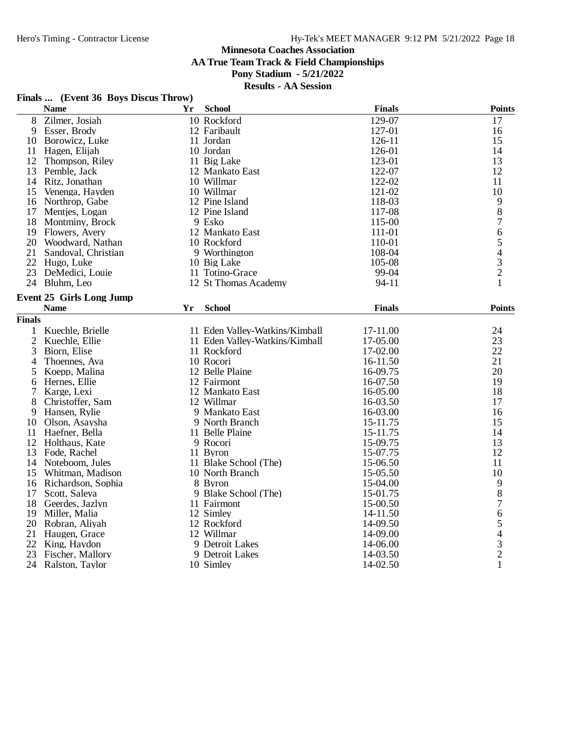**AA True Team Track & Field Championships**

### **Pony Stadium - 5/21/2022**

|  |  | Finals  (Event 36 Boys Discus Throw) |  |
|--|--|--------------------------------------|--|
|--|--|--------------------------------------|--|

|                | <b>Name</b>                     | Yr | <b>School</b>                  | <b>Finals</b> | <b>Points</b>                              |
|----------------|---------------------------------|----|--------------------------------|---------------|--------------------------------------------|
| 8              | Zilmer, Josiah                  |    | 10 Rockford                    | 129-07        | 17                                         |
| 9              | Esser, Brody                    |    | 12 Faribault                   | 127-01        | 16                                         |
| 10             | Borowicz, Luke                  |    | 11 Jordan                      | 126-11        | 15                                         |
| 11             | Hagen, Elijah                   |    | 10 Jordan                      | 126-01        | 14                                         |
| 12             | Thompson, Riley                 |    | 11 Big Lake                    | 123-01        | 13                                         |
| 13             | Pemble, Jack                    |    | 12 Mankato East                | 122-07        | 12                                         |
| 14             | Ritz, Jonathan                  |    | 10 Willmar                     | 122-02        | 11                                         |
| 15             | Venenga, Hayden                 |    | 10 Willmar                     | 121-02        | 10                                         |
| 16             | Northrop, Gabe                  |    | 12 Pine Island                 | 118-03        | 9                                          |
| 17             | Menties, Logan                  |    | 12 Pine Island                 | 117-08        | 8                                          |
| 18             | Montminy, Brock                 |    | 9 Esko                         | 115-00        | $\overline{7}$                             |
|                | 19 Flowers, Avery               |    | 12 Mankato East                | 111-01        | 6                                          |
| 20             | Woodward, Nathan                |    | 10 Rockford                    | 110-01        | 5                                          |
| 21             | Sandoval, Christian             |    | 9 Worthington                  | 108-04        | $\overline{\mathcal{L}}$                   |
| 22             | Hugo, Luke                      |    | 10 Big Lake                    | 105-08        | 3                                          |
| 23             | DeMedici, Louie                 |    | 11 Totino-Grace                | 99-04         | $\overline{2}$                             |
|                | 24 Bluhm, Leo                   |    | 12 St Thomas Academy           | 94-11         | 1                                          |
|                | <b>Event 25 Girls Long Jump</b> |    |                                |               |                                            |
|                |                                 |    |                                |               | <b>Points</b>                              |
|                | <b>Name</b>                     | Yr | <b>School</b>                  | <b>Finals</b> |                                            |
| <b>Finals</b>  |                                 |    |                                |               |                                            |
| $\mathbf{1}$   | Kuechle, Brielle                |    | 11 Eden Valley-Watkins/Kimball | 17-11.00      | 24                                         |
| $\overline{2}$ | Kuechle, Ellie                  |    | 11 Eden Valley-Watkins/Kimball | 17-05.00      | 23                                         |
| 3              | Biorn, Elise                    |    | 11 Rockford                    | 17-02.00      | 22                                         |
| 4              | Thoennes, Ava                   |    | 10 Rocori                      | 16-11.50      | 21                                         |
| 5              | Koepp, Malina                   |    | 12 Belle Plaine                | 16-09.75      | 20                                         |
| 6              | Hernes, Ellie                   |    | 12 Fairmont                    | 16-07.50      | 19                                         |
| 7              | Karge, Lexi                     |    | 12 Mankato East                | 16-05.00      | 18                                         |
| 8              | Christoffer, Sam                |    | 12 Willmar                     | 16-03.50      | 17                                         |
| 9              | Hansen, Rylie                   |    | 9 Mankato East                 | 16-03.00      | 16                                         |
| 10             | Olson, Asaysha                  |    | 9 North Branch                 | 15-11.75      | 15                                         |
| 11             | Haefner, Bella                  |    | 11 Belle Plaine                | 15-11.75      | 14                                         |
| 12             | Holthaus, Kate                  |    | 9 Rocori                       | 15-09.75      | 13                                         |
| 13             | Fode, Rachel                    |    | 11 Byron                       | 15-07.75      | 12                                         |
| 14             | Noteboom, Jules                 |    | 11 Blake School (The)          | 15-06.50      | 11                                         |
| 15             | Whitman, Madison                |    | 10 North Branch                | 15-05.50      | 10                                         |
| 16             | Richardson, Sophia              |    | 8 Byron                        | 15-04.00      | 9                                          |
| 17             | Scott, Saleya                   |    | 9 Blake School (The)           | 15-01.75      | 8                                          |
| 18             | Geerdes, Jazlyn                 |    | 11 Fairmont                    | 15-00.50      | $\overline{7}$                             |
| 19             | Miller, Malia                   |    | 12 Simley                      | 14-11.50      | 6                                          |
| 20             | Robran, Aliyah                  |    | 12 Rockford                    | 14-09.50      | 5                                          |
| 21             | Haugen, Grace                   |    | 12 Willmar                     | 14-09.00      | $\begin{array}{c} 4 \\ 3 \\ 2 \end{array}$ |
| 22             | King, Haydon                    |    | 9 Detroit Lakes                | 14-06.00      |                                            |
| 23             | Fischer, Mallory                |    | 9 Detroit Lakes                | 14-03.50      |                                            |
| 24             | Ralston, Taylor                 |    | 10 Simley                      | 14-02.50      | $\mathbf{1}$                               |